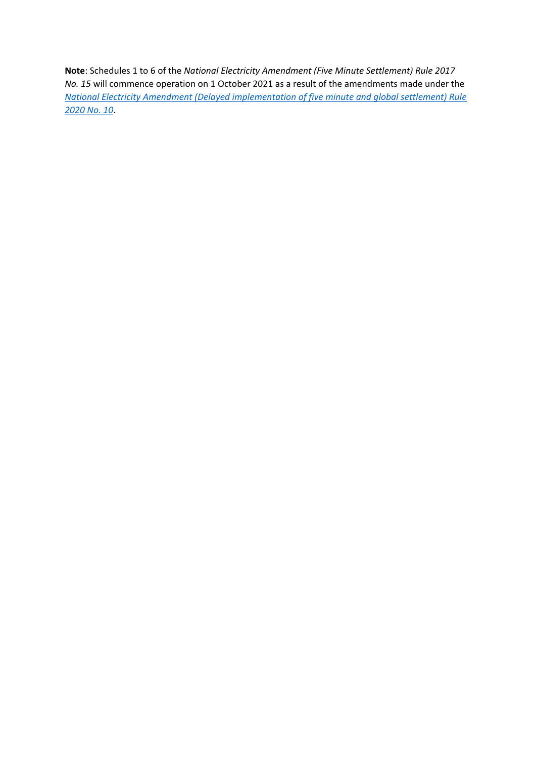**Note**: Schedules 1 to 6 of the *National Electricity Amendment (Five Minute Settlement) Rule 2017 No. 15* will commence operation on 1 October 2021 as a result of the amendments made under the *[National Electricity Amendment \(Delayed implementation of five minute and global settlement\) Rule](https://www.aemc.gov.au/sites/default/files/documents/final_rule_1.pdf)  [2020 No. 10](https://www.aemc.gov.au/sites/default/files/documents/final_rule_1.pdf)*.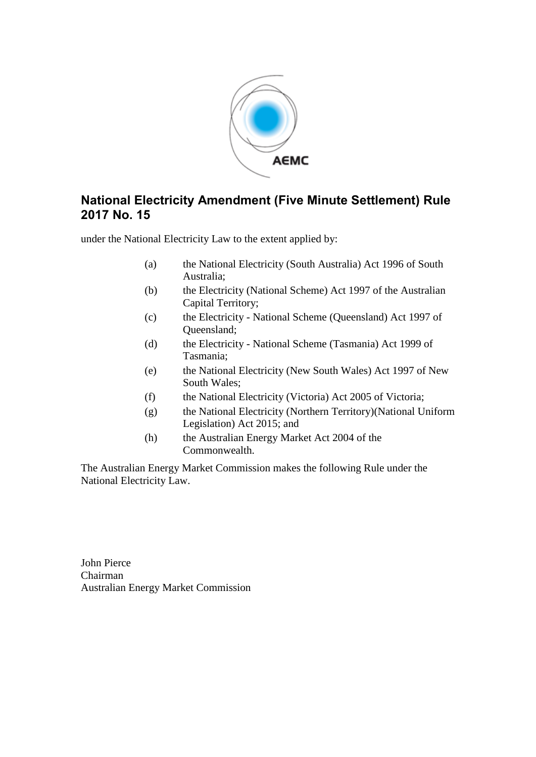

## **National Electricity Amendment (Five Minute Settlement) Rule 2017 No. 15**

under the National Electricity Law to the extent applied by:

- (a) the National Electricity (South Australia) Act 1996 of South Australia;
- (b) the Electricity (National Scheme) Act 1997 of the Australian Capital Territory;
- (c) the Electricity National Scheme (Queensland) Act 1997 of Queensland;
- (d) the Electricity National Scheme (Tasmania) Act 1999 of Tasmania;
- (e) the National Electricity (New South Wales) Act 1997 of New South Wales;
- (f) the National Electricity (Victoria) Act 2005 of Victoria;
- (g) the National Electricity (Northern Territory)(National Uniform Legislation) Act 2015; and
- (h) the Australian Energy Market Act 2004 of the Commonwealth.

The Australian Energy Market Commission makes the following Rule under the National Electricity Law.

John Pierce Chairman Australian Energy Market Commission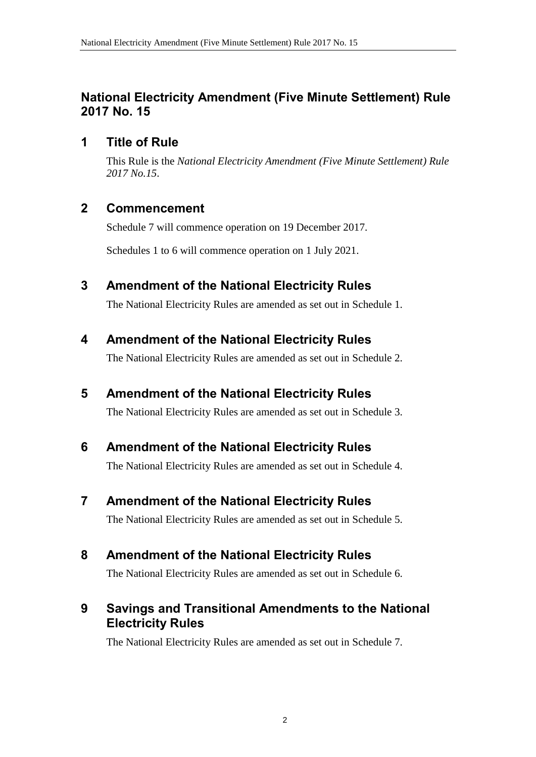## **National Electricity Amendment (Five Minute Settlement) Rule 2017 No. 15**

### **1 Title of Rule**

This Rule is the *National Electricity Amendment (Five Minute Settlement) Rule 2017 No.15*.

## **2 Commencement**

Schedule 7 will commence operation on 19 December 2017.

Schedules 1 to 6 will commence operation on 1 July 2021.

## <span id="page-2-0"></span>**3 Amendment of the National Electricity Rules**

The National Electricity Rules are amended as set out in [Schedule 1.](#page-3-0)

## **4 Amendment of the National Electricity Rules**

The National Electricity Rules are amended as set out in [Schedule 2.](#page-25-0)

## **5 Amendment of the National Electricity Rules**

The National Electricity Rules are amended as set out in [Schedule 3.](#page-26-0)

**6 Amendment of the National Electricity Rules**

The National Electricity Rules are amended as set out in [Schedule 4.](#page-27-0)

<span id="page-2-1"></span>**7 Amendment of the National Electricity Rules**

The National Electricity Rules are amended as set out in [Schedule 5.](#page-32-0)

## <span id="page-2-2"></span>**8 Amendment of the National Electricity Rules**

The National Electricity Rules are amended as set out in [Schedule 6.](#page-33-0)

## <span id="page-2-3"></span>**9 Savings and Transitional Amendments to the National Electricity Rules**

The National Electricity Rules are amended as set out in [Schedule 7.](#page-38-0)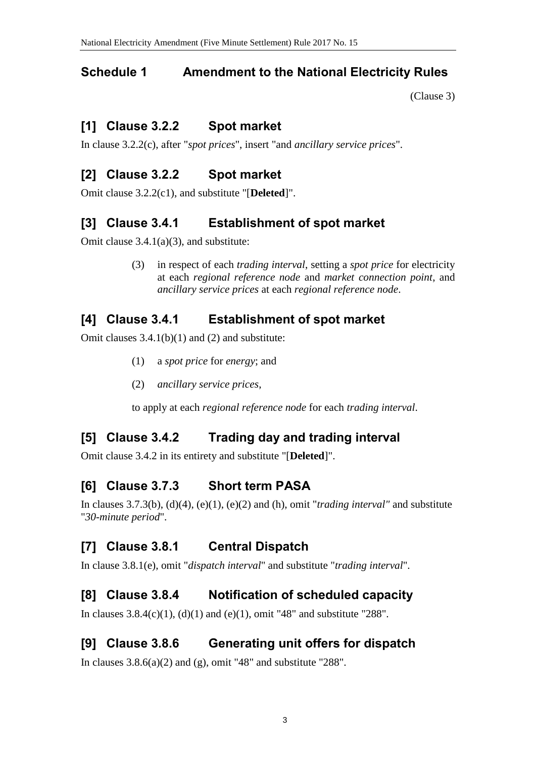## <span id="page-3-0"></span>**Schedule 1 Amendment to the National Electricity Rules**

[\(Clause 3\)](#page-2-0)

## **[1] Clause 3.2.2 Spot market**

In clause 3.2.2(c), after "*spot prices*", insert "and *ancillary service prices*".

## **[2] Clause 3.2.2 Spot market**

Omit clause 3.2.2(c1), and substitute "[**Deleted**]".

## **[3] Clause 3.4.1 Establishment of spot market**

Omit clause 3.4.1(a)(3), and substitute:

(3) in respect of each *trading interval*, setting a *spot price* for electricity at each *regional reference node* and *market connection point*, and *ancillary service prices* at each *regional reference node*.

## **[4] Clause 3.4.1 Establishment of spot market**

Omit clauses  $3.4.1(b)(1)$  and  $(2)$  and substitute:

- (1) a *spot price* for *energy*; and
- (2) *ancillary service prices*,

to apply at each *regional reference node* for each *trading interval*.

## **[5] Clause 3.4.2 Trading day and trading interval**

Omit clause 3.4.2 in its entirety and substitute "[**Deleted**]".

## **[6] Clause 3.7.3 Short term PASA**

In clauses 3.7.3(b), (d)(4), (e)(1), (e)(2) and (h), omit "*trading interval"* and substitute "*30-minute period*".

## **[7] Clause 3.8.1 Central Dispatch**

In clause 3.8.1(e), omit "*dispatch interval*" and substitute "*trading interval*".

## **[8] Clause 3.8.4 Notification of scheduled capacity**

In clauses  $3.8.4(c)(1)$ , (d)(1) and (e)(1), omit "48" and substitute "288".

## **[9] Clause 3.8.6 Generating unit offers for dispatch**

In clauses  $3.8.6(a)(2)$  and (g), omit "48" and substitute "288".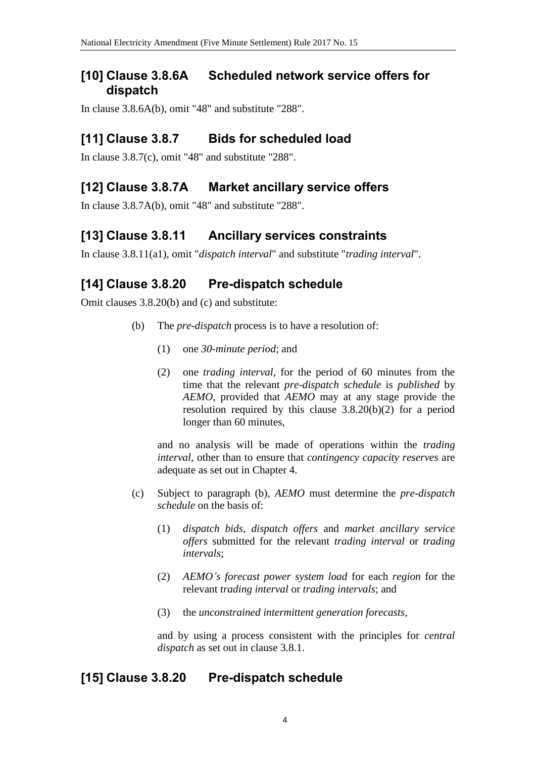## **[10] Clause 3.8.6A Scheduled network service offers for dispatch**

In clause 3.8.6A(b), omit "48" and substitute "288".

## **[11] Clause 3.8.7 Bids for scheduled load**

In clause 3.8.7(c), omit "48" and substitute "288".

## **[12] Clause 3.8.7A Market ancillary service offers**

In clause 3.8.7A(b), omit "48" and substitute "288".

## **[13] Clause 3.8.11 Ancillary services constraints**

In clause 3.8.11(a1), omit "*dispatch interval*" and substitute "*trading interval*".

## **[14] Clause 3.8.20 Pre-dispatch schedule**

Omit clauses 3.8.20(b) and (c) and substitute:

- (b) The *pre-dispatch* process is to have a resolution of:
	- (1) one *30-minute period*; and
	- (2) one *trading interval*, for the period of 60 minutes from the time that the relevant *pre-dispatch schedule* is *published* by *AEMO*, provided that *AEMO* may at any stage provide the resolution required by this clause 3.8.20(b)(2) for a period longer than 60 minutes,

and no analysis will be made of operations within the *trading interval*, other than to ensure that *contingency capacity reserves* are adequate as set out in Chapter 4.

- (c) Subject to paragraph (b), *AEMO* must determine the *pre-dispatch schedule* on the basis of:
	- (1) *dispatch bids*, *dispatch offers* and *market ancillary service offers* submitted for the relevant *trading interval* or *trading intervals*;
	- (2) *AEMO's forecast power system load* for each *region* for the relevant *trading interval* or *trading intervals*; and
	- (3) the *unconstrained intermittent generation forecasts*,

and by using a process consistent with the principles for *central dispatch* as set out in clause 3.8.1.

## **[15] Clause 3.8.20 Pre-dispatch schedule**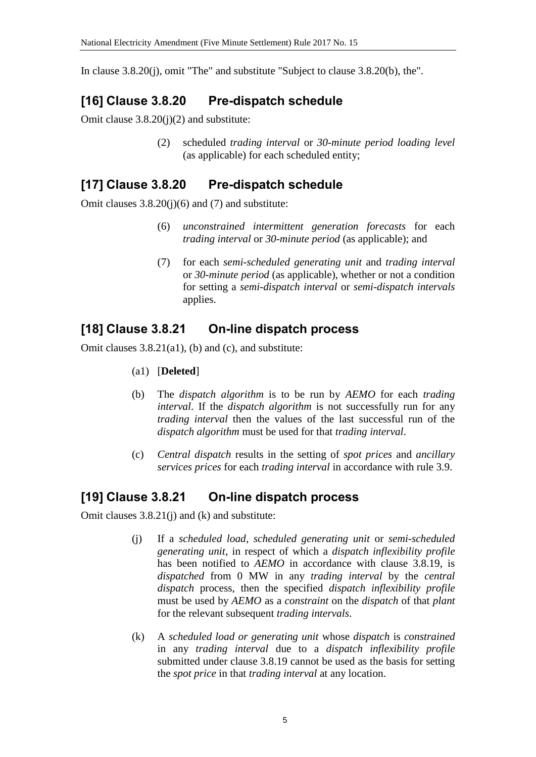In clause 3.8.20(j), omit "The" and substitute "Subject to clause 3.8.20(b), the".

## **[16] Clause 3.8.20 Pre-dispatch schedule**

Omit clause 3.8.20(j)(2) and substitute:

(2) scheduled *trading interval* or *30-minute period loading level*  (as applicable) for each scheduled entity;

### **[17] Clause 3.8.20 Pre-dispatch schedule**

Omit clauses 3.8.20(j)(6) and (7) and substitute:

- (6) *unconstrained intermittent generation forecasts* for each *trading interval* or *30-minute period* (as applicable); and
- (7) for each *semi-scheduled generating unit* and *trading interval*  or *30-minute period* (as applicable), whether or not a condition for setting a *semi-dispatch interval* or *semi-dispatch intervals* applies.

## **[18] Clause 3.8.21 On-line dispatch process**

Omit clauses 3.8.21(a1), (b) and (c), and substitute:

- (a1) [**Deleted**]
- (b) The *dispatch algorithm* is to be run by *AEMO* for each *trading interval*. If the *dispatch algorithm* is not successfully run for any *trading interval* then the values of the last successful run of the *dispatch algorithm* must be used for that *trading interval*.
- (c) *Central dispatch* results in the setting of *spot prices* and *ancillary services prices* for each *trading interval* in accordance with rule 3.9.

## **[19] Clause 3.8.21 On-line dispatch process**

Omit clauses 3.8.21(j) and (k) and substitute:

- (j) If a *scheduled load*, *scheduled generating unit* or *semi-scheduled generating unit*, in respect of which a *dispatch inflexibility profile* has been notified to *AEMO* in accordance with clause 3.8.19, is *dispatched* from 0 MW in any *trading interval* by the *central dispatch* process, then the specified *dispatch inflexibility profile* must be used by *AEMO* as a *constraint* on the *dispatch* of that *plant* for the relevant subsequent *trading intervals*.
- (k) A *scheduled load or generating unit* whose *dispatch* is *constrained* in any *trading interval* due to a *dispatch inflexibility profile* submitted under clause 3.8.19 cannot be used as the basis for setting the *spot price* in that *trading interval* at any location.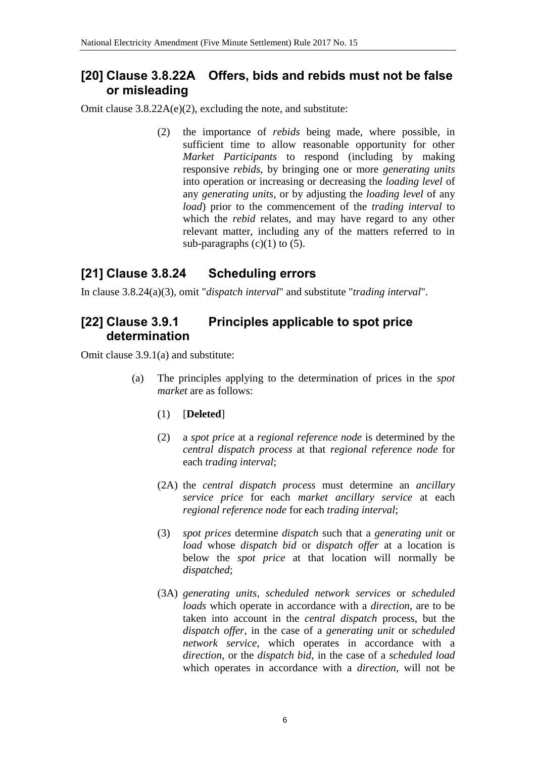## **[20] Clause 3.8.22A Offers, bids and rebids must not be false or misleading**

Omit clause 3.8.22A(e)(2), excluding the note, and substitute:

(2) the importance of *rebids* being made, where possible, in sufficient time to allow reasonable opportunity for other *Market Participants* to respond (including by making responsive *rebids*, by bringing one or more *generating units* into operation or increasing or decreasing the *loading level* of any *generating units*, or by adjusting the *loading level* of any *load*) prior to the commencement of the *trading interval* to which the *rebid* relates, and may have regard to any other relevant matter, including any of the matters referred to in sub-paragraphs  $(c)(1)$  to  $(5)$ .

## **[21] Clause 3.8.24 Scheduling errors**

In clause 3.8.24(a)(3), omit "*dispatch interval*" and substitute "*trading interval*".

### **[22] Clause 3.9.1 Principles applicable to spot price determination**

Omit clause 3.9.1(a) and substitute:

- (a) The principles applying to the determination of prices in the *spot market* are as follows:
	- (1) [**Deleted**]
	- (2) a *spot price* at a *regional reference node* is determined by the *central dispatch process* at that *regional reference node* for each *trading interval*;
	- (2A) the *central dispatch process* must determine an *ancillary service price* for each *market ancillary service* at each *regional reference node* for each *trading interval*;
	- (3) *spot prices* determine *dispatch* such that a *generating unit* or *load* whose *dispatch bid* or *dispatch offer* at a location is below the *spot price* at that location will normally be *dispatched*;
	- (3A) *generating units*, *scheduled network services* or *scheduled loads* which operate in accordance with a *direction*, are to be taken into account in the *central dispatch* process, but the *dispatch offer*, in the case of a *generating unit* or *scheduled network service*, which operates in accordance with a *direction*, or the *dispatch bid*, in the case of a *scheduled load* which operates in accordance with a *direction*, will not be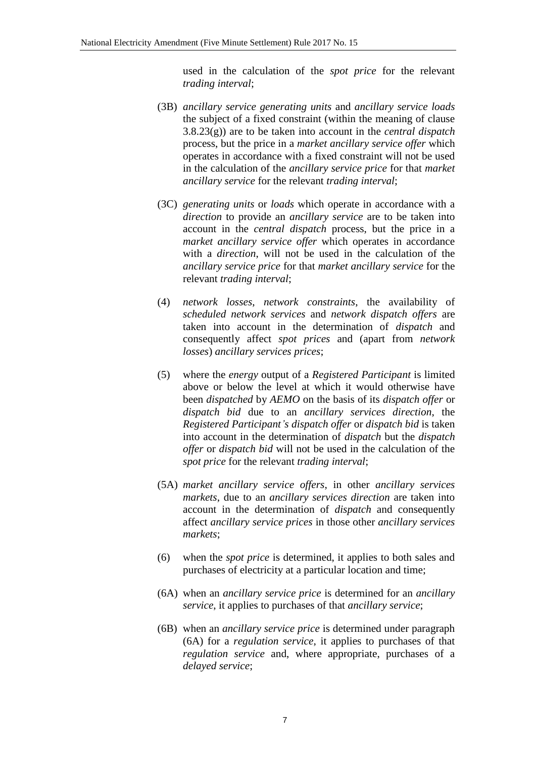used in the calculation of the *spot price* for the relevant *trading interval*;

- (3B) *ancillary service generating units* and *ancillary service loads* the subject of a fixed constraint (within the meaning of clause 3.8.23(g)) are to be taken into account in the *central dispatch* process, but the price in a *market ancillary service offer* which operates in accordance with a fixed constraint will not be used in the calculation of the *ancillary service price* for that *market ancillary service* for the relevant *trading interval*;
- (3C) *generating units* or *loads* which operate in accordance with a *direction* to provide an *ancillary service* are to be taken into account in the *central dispatch* process, but the price in a *market ancillary service offer* which operates in accordance with a *direction*, will not be used in the calculation of the *ancillary service price* for that *market ancillary service* for the relevant *trading interval*;
- (4) *network losses*, *network constraints*, the availability of *scheduled network services* and *network dispatch offers* are taken into account in the determination of *dispatch* and consequently affect *spot prices* and (apart from *network losses*) *ancillary services prices*;
- (5) where the *energy* output of a *Registered Participant* is limited above or below the level at which it would otherwise have been *dispatched* by *AEMO* on the basis of its *dispatch offer* or *dispatch bid* due to an *ancillary services direction*, the *Registered Participant's dispatch offer* or *dispatch bid* is taken into account in the determination of *dispatch* but the *dispatch offer* or *dispatch bid* will not be used in the calculation of the *spot price* for the relevant *trading interval*;
- (5A) *market ancillary service offers*, in other *ancillary services markets*, due to an *ancillary services direction* are taken into account in the determination of *dispatch* and consequently affect *ancillary service prices* in those other *ancillary services markets*;
- (6) when the *spot price* is determined, it applies to both sales and purchases of electricity at a particular location and time;
- (6A) when an *ancillary service price* is determined for an *ancillary service*, it applies to purchases of that *ancillary service*;
- (6B) when an *ancillary service price* is determined under paragraph (6A) for a *regulation service*, it applies to purchases of that *regulation service* and, where appropriate, purchases of a *delayed service*;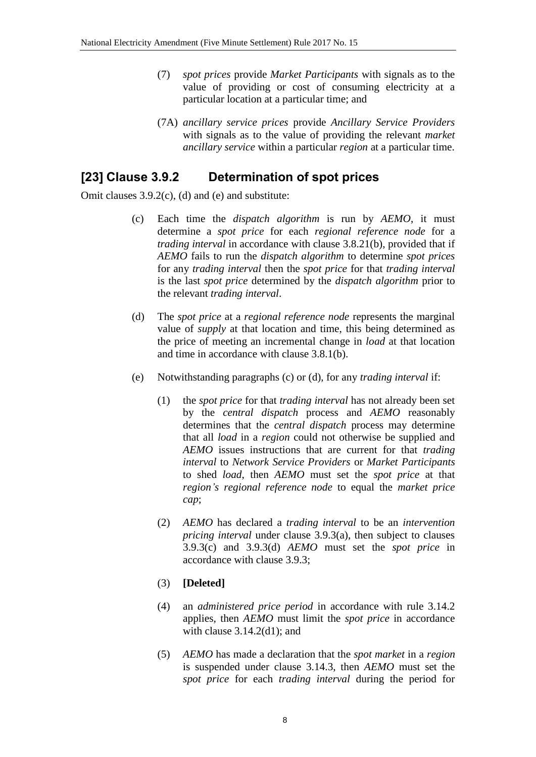- (7) *spot prices* provide *Market Participants* with signals as to the value of providing or cost of consuming electricity at a particular location at a particular time; and
- (7A) *ancillary service prices* provide *Ancillary Service Providers* with signals as to the value of providing the relevant *market ancillary service* within a particular *region* at a particular time.

## **[23] Clause 3.9.2 Determination of spot prices**

Omit clauses 3.9.2(c), (d) and (e) and substitute:

- (c) Each time the *dispatch algorithm* is run by *AEMO*, it must determine a *spot price* for each *regional reference node* for a *trading interval* in accordance with clause 3.8.21(b), provided that if *AEMO* fails to run the *dispatch algorithm* to determine *spot prices* for any *trading interval* then the *spot price* for that *trading interval* is the last *spot price* determined by the *dispatch algorithm* prior to the relevant *trading interval*.
- (d) The *spot price* at a *regional reference node* represents the marginal value of *supply* at that location and time, this being determined as the price of meeting an incremental change in *load* at that location and time in accordance with clause 3.8.1(b).
- (e) Notwithstanding paragraphs (c) or (d), for any *trading interval* if:
	- (1) the *spot price* for that *trading interval* has not already been set by the *central dispatch* process and *AEMO* reasonably determines that the *central dispatch* process may determine that all *load* in a *region* could not otherwise be supplied and *AEMO* issues instructions that are current for that *trading interval* to *Network Service Providers* or *Market Participants* to shed *load*, then *AEMO* must set the *spot price* at that *region's regional reference node* to equal the *market price cap*;
	- (2) *AEMO* has declared a *trading interval* to be an *intervention pricing interval* under clause 3.9.3(a), then subject to clauses 3.9.3(c) and 3.9.3(d) *AEMO* must set the *spot price* in accordance with clause 3.9.3;

#### (3) **[Deleted]**

- (4) an *administered price period* in accordance with rule 3.14.2 applies, then *AEMO* must limit the *spot price* in accordance with clause  $3.14.2\text{(d1)}$ ; and
- (5) *AEMO* has made a declaration that the *spot market* in a *region* is suspended under clause 3.14.3, then *AEMO* must set the *spot price* for each *trading interval* during the period for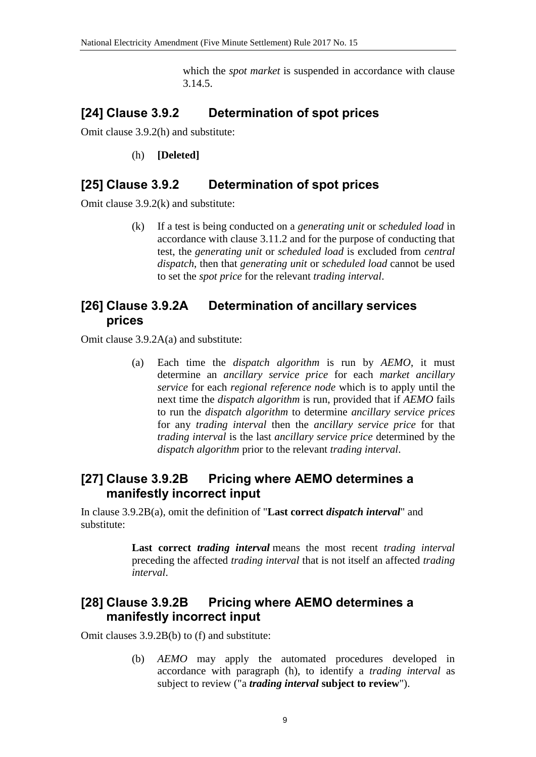which the *spot market* is suspended in accordance with clause 3.14.5.

## **[24] Clause 3.9.2 Determination of spot prices**

Omit clause 3.9.2(h) and substitute:

#### (h) **[Deleted]**

## **[25] Clause 3.9.2 Determination of spot prices**

Omit clause 3.9.2(k) and substitute:

(k) If a test is being conducted on a *generating unit* or *scheduled load* in accordance with clause 3.11.2 and for the purpose of conducting that test, the *generating unit* or *scheduled load* is excluded from *central dispatch*, then that *generating unit* or *scheduled load* cannot be used to set the *spot price* for the relevant *trading interval*.

### **[26] Clause 3.9.2A Determination of ancillary services prices**

Omit clause 3.9.2A(a) and substitute:

(a) Each time the *dispatch algorithm* is run by *AEMO*, it must determine an *ancillary service price* for each *market ancillary service* for each *regional reference node* which is to apply until the next time the *dispatch algorithm* is run, provided that if *AEMO* fails to run the *dispatch algorithm* to determine *ancillary service prices* for any *trading interval* then the *ancillary service price* for that *trading interval* is the last *ancillary service price* determined by the *dispatch algorithm* prior to the relevant *trading interval*.

## **[27] Clause 3.9.2B Pricing where AEMO determines a manifestly incorrect input**

In clause 3.9.2B(a), omit the definition of "**Last correct** *dispatch interval*" and substitute:

> **Last correct** *trading interval* means the most recent *trading interval* preceding the affected *trading interval* that is not itself an affected *trading interval*.

### **[28] Clause 3.9.2B Pricing where AEMO determines a manifestly incorrect input**

Omit clauses 3.9.2B(b) to (f) and substitute:

(b) *AEMO* may apply the automated procedures developed in accordance with paragraph (h), to identify a *trading interval* as subject to review ("a *trading interval* **subject to review**").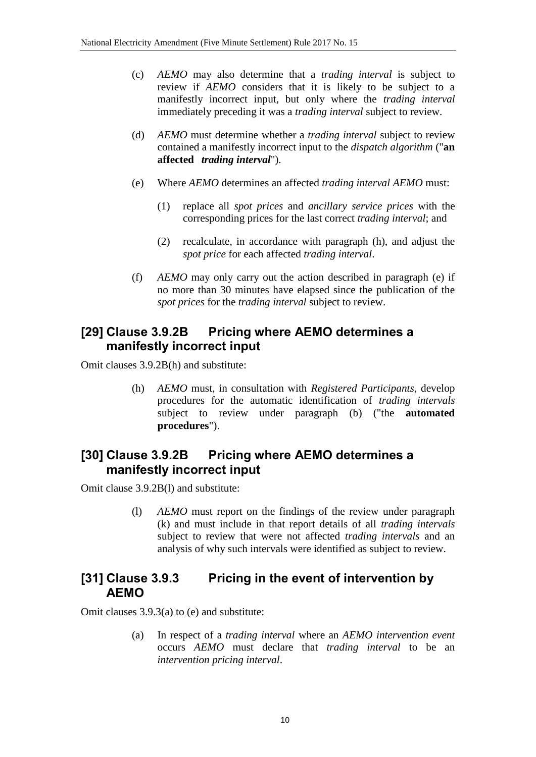- (c) *AEMO* may also determine that a *trading interval* is subject to review if *AEMO* considers that it is likely to be subject to a manifestly incorrect input, but only where the *trading interval* immediately preceding it was a *trading interval* subject to review.
- (d) *AEMO* must determine whether a *trading interval* subject to review contained a manifestly incorrect input to the *dispatch algorithm* ("**an affected** *trading interval*").
- (e) Where *AEMO* determines an affected *trading interval AEMO* must:
	- (1) replace all *spot prices* and *ancillary service prices* with the corresponding prices for the last correct *trading interval*; and
	- (2) recalculate, in accordance with paragraph (h), and adjust the *spot price* for each affected *trading interval*.
- (f) *AEMO* may only carry out the action described in paragraph (e) if no more than 30 minutes have elapsed since the publication of the *spot prices* for the *trading interval* subject to review.

### **[29] Clause 3.9.2B Pricing where AEMO determines a manifestly incorrect input**

Omit clauses 3.9.2B(h) and substitute:

(h) *AEMO* must, in consultation with *Registered Participants*, develop procedures for the automatic identification of *trading intervals* subject to review under paragraph (b) ("the **automated procedures**").

### **[30] Clause 3.9.2B Pricing where AEMO determines a manifestly incorrect input**

Omit clause 3.9.2B(l) and substitute:

(l) *AEMO* must report on the findings of the review under paragraph (k) and must include in that report details of all *trading intervals* subject to review that were not affected *trading intervals* and an analysis of why such intervals were identified as subject to review.

### **[31] Clause 3.9.3 Pricing in the event of intervention by AEMO**

Omit clauses 3.9.3(a) to (e) and substitute:

(a) In respect of a *trading interval* where an *AEMO intervention event* occurs *AEMO* must declare that *trading interval* to be an *intervention pricing interval*.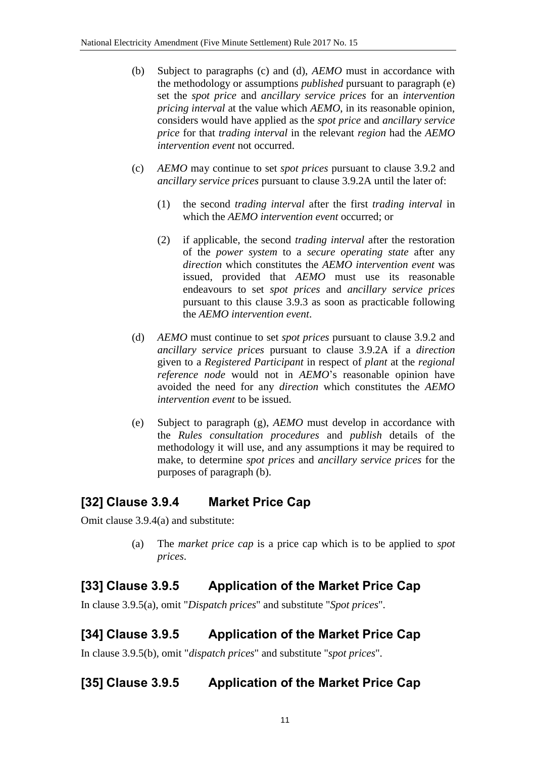- (b) Subject to paragraphs (c) and (d), *AEMO* must in accordance with the methodology or assumptions *published* pursuant to paragraph (e) set the *spot price* and *ancillary service prices* for an *intervention pricing interval* at the value which *AEMO*, in its reasonable opinion, considers would have applied as the *spot price* and *ancillary service price* for that *trading interval* in the relevant *region* had the *AEMO intervention event* not occurred.
- (c) *AEMO* may continue to set *spot prices* pursuant to clause 3.9.2 and *ancillary service prices* pursuant to clause 3.9.2A until the later of:
	- (1) the second *trading interval* after the first *trading interval* in which the *AEMO intervention event* occurred; or
	- (2) if applicable, the second *trading interval* after the restoration of the *power system* to a *secure operating state* after any *direction* which constitutes the *AEMO intervention event* was issued, provided that *AEMO* must use its reasonable endeavours to set *spot prices* and *ancillary service prices* pursuant to this clause 3.9.3 as soon as practicable following the *AEMO intervention event*.
- (d) *AEMO* must continue to set *spot prices* pursuant to clause 3.9.2 and *ancillary service prices* pursuant to clause 3.9.2A if a *direction* given to a *Registered Participant* in respect of *plant* at the *regional reference node* would not in *AEMO*'s reasonable opinion have avoided the need for any *direction* which constitutes the *AEMO intervention event* to be issued.
- (e) Subject to paragraph (g), *AEMO* must develop in accordance with the *Rules consultation procedures* and *publish* details of the methodology it will use, and any assumptions it may be required to make, to determine *spot prices* and *ancillary service prices* for the purposes of paragraph (b).

## **[32] Clause 3.9.4 Market Price Cap**

Omit clause 3.9.4(a) and substitute:

(a) The *market price cap* is a price cap which is to be applied to *spot prices*.

## **[33] Clause 3.9.5 Application of the Market Price Cap**

In clause 3.9.5(a), omit "*Dispatch prices*" and substitute "*Spot prices*".

## **[34] Clause 3.9.5 Application of the Market Price Cap**

In clause 3.9.5(b), omit "*dispatch prices*" and substitute "*spot prices*".

## **[35] Clause 3.9.5 Application of the Market Price Cap**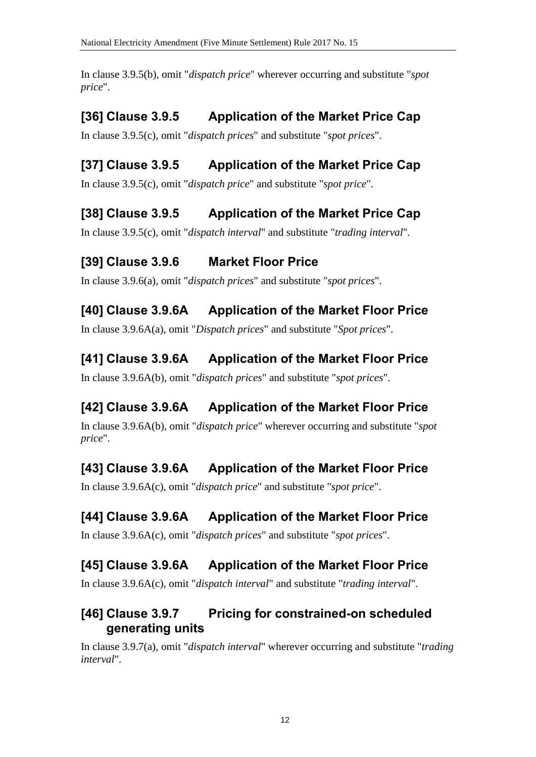In clause 3.9.5(b), omit "*dispatch price*" wherever occurring and substitute "*spot price*".

## **[36] Clause 3.9.5 Application of the Market Price Cap**

In clause 3.9.5(c), omit "*dispatch prices*" and substitute "*spot prices*".

# **[37] Clause 3.9.5 Application of the Market Price Cap**

In clause 3.9.5(c), omit "*dispatch price*" and substitute "*spot price*".

## **[38] Clause 3.9.5 Application of the Market Price Cap**

In clause 3.9.5(c), omit "*dispatch interval*" and substitute "*trading interval*".

## **[39] Clause 3.9.6 Market Floor Price**

In clause 3.9.6(a), omit "*dispatch prices*" and substitute "*spot prices*".

## **[40] Clause 3.9.6A Application of the Market Floor Price**

In clause 3.9.6A(a), omit "*Dispatch prices*" and substitute "*Spot prices*".

## **[41] Clause 3.9.6A Application of the Market Floor Price**

In clause 3.9.6A(b), omit "*dispatch prices*" and substitute "*spot prices*".

# **[42] Clause 3.9.6A Application of the Market Floor Price**

In clause 3.9.6A(b), omit "*dispatch price*" wherever occurring and substitute "*spot price*".

## **[43] Clause 3.9.6A Application of the Market Floor Price**

In clause 3.9.6A(c), omit "*dispatch price*" and substitute "*spot price*".

# **[44] Clause 3.9.6A Application of the Market Floor Price**

In clause 3.9.6A(c), omit "*dispatch prices*" and substitute "*spot prices*".

## **[45] Clause 3.9.6A Application of the Market Floor Price**

In clause 3.9.6A(c), omit "*dispatch interval*" and substitute "*trading interval*".

## **[46] Clause 3.9.7 Pricing for constrained-on scheduled generating units**

In clause 3.9.7(a), omit "*dispatch interval*" wherever occurring and substitute "*trading interval*".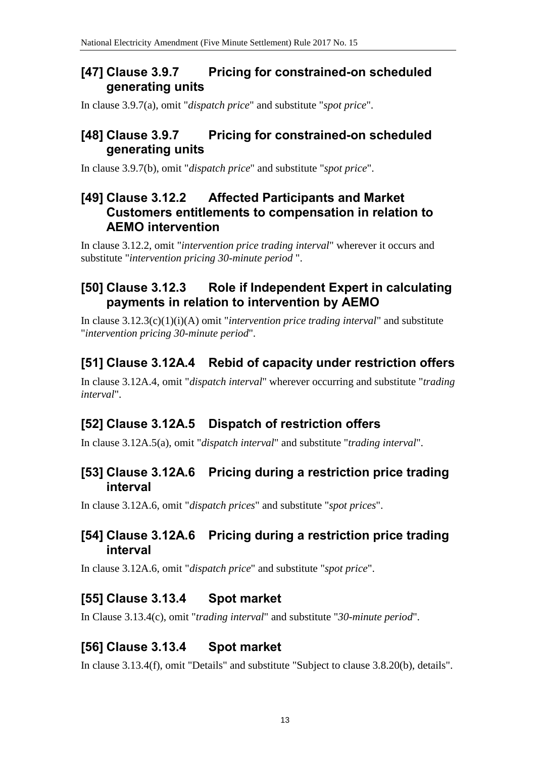## **[47] Clause 3.9.7 Pricing for constrained-on scheduled generating units**

In clause 3.9.7(a), omit "*dispatch price*" and substitute "*spot price*".

## **[48] Clause 3.9.7 Pricing for constrained-on scheduled generating units**

In clause 3.9.7(b), omit "*dispatch price*" and substitute "*spot price*".

### **[49] Clause 3.12.2 Affected Participants and Market Customers entitlements to compensation in relation to AEMO intervention**

In clause 3.12.2, omit "*intervention price trading interval*" wherever it occurs and substitute "*intervention pricing 30-minute period* ".

## **[50] Clause 3.12.3 Role if Independent Expert in calculating payments in relation to intervention by AEMO**

In clause 3.12.3(c)(1)(i)(A) omit "*intervention price trading interval*" and substitute "*intervention pricing 30-minute period*".

## **[51] Clause 3.12A.4 Rebid of capacity under restriction offers**

In clause 3.12A.4, omit "*dispatch interval*" wherever occurring and substitute "*trading interval*".

## **[52] Clause 3.12A.5 Dispatch of restriction offers**

In clause 3.12A.5(a), omit "*dispatch interval*" and substitute "*trading interval*".

## **[53] Clause 3.12A.6 Pricing during a restriction price trading interval**

In clause 3.12A.6, omit "*dispatch prices*" and substitute "*spot prices*".

## **[54] Clause 3.12A.6 Pricing during a restriction price trading interval**

In clause 3.12A.6, omit "*dispatch price*" and substitute "*spot price*".

## **[55] Clause 3.13.4 Spot market**

In Clause 3.13.4(c), omit "*trading interval*" and substitute "*30-minute period*".

## **[56] Clause 3.13.4 Spot market**

In clause 3.13.4(f), omit "Details" and substitute "Subject to clause 3.8.20(b), details".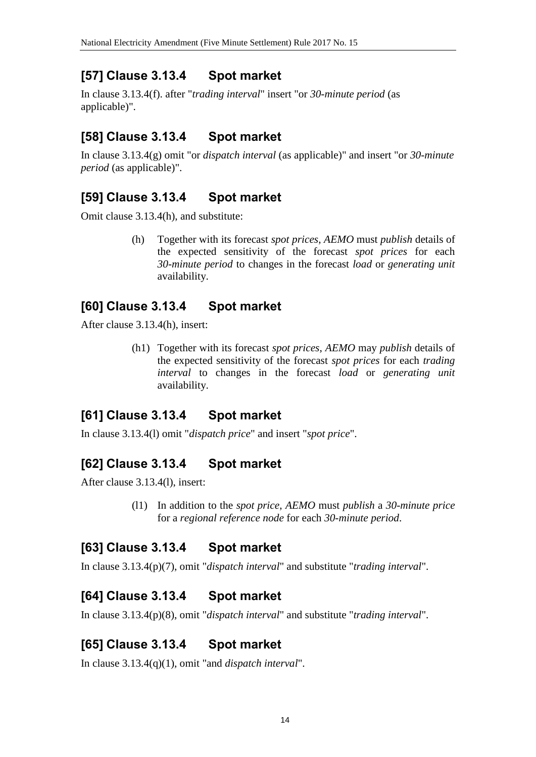## **[57] Clause 3.13.4 Spot market**

In clause 3.13.4(f). after "*trading interval*" insert "or *30-minute period* (as applicable)".

## **[58] Clause 3.13.4 Spot market**

In clause 3.13.4(g) omit "or *dispatch interval* (as applicable)" and insert "or *30-minute period* (as applicable)".

## **[59] Clause 3.13.4 Spot market**

Omit clause 3.13.4(h), and substitute:

(h) Together with its forecast *spot prices*, *AEMO* must *publish* details of the expected sensitivity of the forecast *spot prices* for each *30-minute period* to changes in the forecast *load* or *generating unit* availability.

## **[60] Clause 3.13.4 Spot market**

After clause 3.13.4(h), insert:

(h1) Together with its forecast *spot prices*, *AEMO* may *publish* details of the expected sensitivity of the forecast *spot prices* for each *trading interval* to changes in the forecast *load* or *generating unit* availability.

## **[61] Clause 3.13.4 Spot market**

In clause 3.13.4(l) omit "*dispatch price*" and insert "*spot price*".

## **[62] Clause 3.13.4 Spot market**

After clause 3.13.4(l), insert:

(l1) In addition to the *spot price*, *AEMO* must *publish* a *30-minute price* for a *regional reference node* for each *30-minute period*.

## **[63] Clause 3.13.4 Spot market**

In clause 3.13.4(p)(7), omit "*dispatch interval*" and substitute "*trading interval*".

## **[64] Clause 3.13.4 Spot market**

In clause 3.13.4(p)(8), omit "*dispatch interval*" and substitute "*trading interval*".

## **[65] Clause 3.13.4 Spot market**

In clause 3.13.4(q)(1), omit "and *dispatch interval*".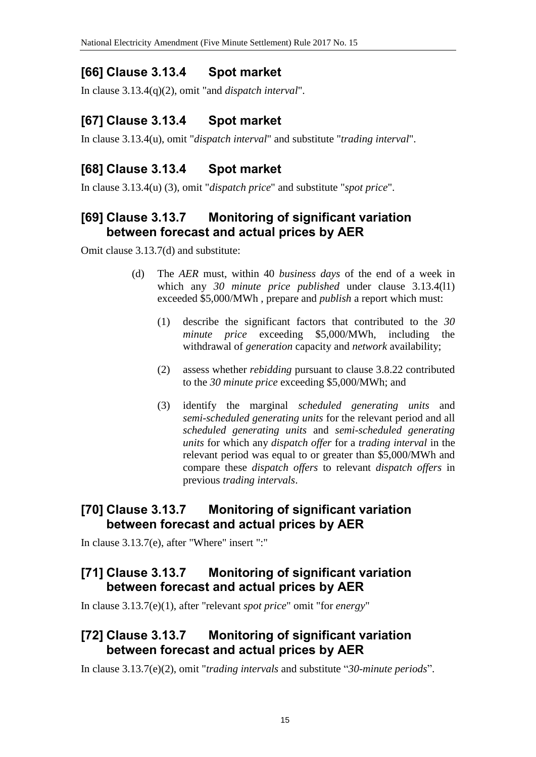## **[66] Clause 3.13.4 Spot market**

In clause 3.13.4(q)(2), omit "and *dispatch interval*".

## **[67] Clause 3.13.4 Spot market**

In clause 3.13.4(u), omit "*dispatch interval*" and substitute "*trading interval*".

## **[68] Clause 3.13.4 Spot market**

In clause 3.13.4(u) (3), omit "*dispatch price*" and substitute "*spot price*".

## **[69] Clause 3.13.7 Monitoring of significant variation between forecast and actual prices by AER**

Omit clause 3.13.7(d) and substitute:

- (d) The *AER* must, within 40 *business days* of the end of a week in which any *30 minute price published* under clause 3.13.4(l1) exceeded \$5,000/MWh , prepare and *publish* a report which must:
	- (1) describe the significant factors that contributed to the *30 minute price* exceeding \$5,000/MWh, including the withdrawal of *generation* capacity and *network* availability;
	- (2) assess whether *rebidding* pursuant to clause 3.8.22 contributed to the *30 minute price* exceeding \$5,000/MWh; and
	- (3) identify the marginal *scheduled generating units* and *semi-scheduled generating units* for the relevant period and all *scheduled generating units* and *semi-scheduled generating units* for which any *dispatch offer* for a *trading interval* in the relevant period was equal to or greater than \$5,000/MWh and compare these *dispatch offers* to relevant *dispatch offers* in previous *trading intervals*.

### **[70] Clause 3.13.7 Monitoring of significant variation between forecast and actual prices by AER**

In clause 3.13.7(e), after "Where" insert ":"

## **[71] Clause 3.13.7 Monitoring of significant variation between forecast and actual prices by AER**

In clause 3.13.7(e)(1), after "relevant *spot price*" omit "for *energy*"

## **[72] Clause 3.13.7 Monitoring of significant variation between forecast and actual prices by AER**

In clause 3.13.7(e)(2), omit "*trading intervals* and substitute "*30-minute periods*".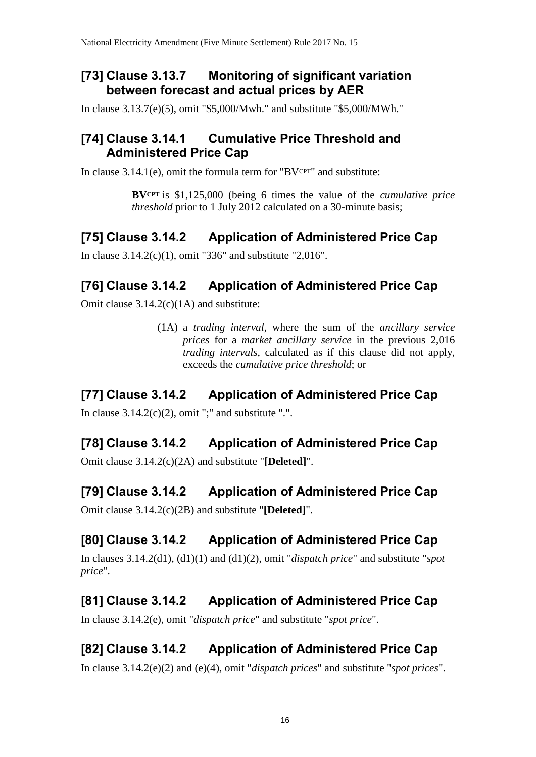## **[73] Clause 3.13.7 Monitoring of significant variation between forecast and actual prices by AER**

In clause 3.13.7(e)(5), omit "\$5,000/Mwh." and substitute "\$5,000/MWh."

### **[74] Clause 3.14.1 Cumulative Price Threshold and Administered Price Cap**

In clause  $3.14.1(e)$ , omit the formula term for "BVCPT" and substitute:

**BVCPT** is \$1,125,000 (being 6 times the value of the *cumulative price threshold* prior to 1 July 2012 calculated on a 30-minute basis;

## **[75] Clause 3.14.2 Application of Administered Price Cap**

In clause 3.14.2(c)(1), omit "336" and substitute "2,016".

## **[76] Clause 3.14.2 Application of Administered Price Cap**

Omit clause 3.14.2(c)(1A) and substitute:

(1A) a *trading interval*, where the sum of the *ancillary service prices* for a *market ancillary service* in the previous 2,016 *trading intervals*, calculated as if this clause did not apply, exceeds the *cumulative price threshold*; or

## **[77] Clause 3.14.2 Application of Administered Price Cap**

In clause  $3.14.2(c)(2)$ , omit ";" and substitute ".".

## **[78] Clause 3.14.2 Application of Administered Price Cap**

Omit clause 3.14.2(c)(2A) and substitute "**[Deleted]**".

## **[79] Clause 3.14.2 Application of Administered Price Cap**

Omit clause 3.14.2(c)(2B) and substitute "**[Deleted]**".

## **[80] Clause 3.14.2 Application of Administered Price Cap**

In clauses 3.14.2(d1), (d1)(1) and (d1)(2), omit "*dispatch price*" and substitute "*spot price*".

## **[81] Clause 3.14.2 Application of Administered Price Cap**

In clause 3.14.2(e), omit "*dispatch price*" and substitute "*spot price*".

## **[82] Clause 3.14.2 Application of Administered Price Cap**

In clause 3.14.2(e)(2) and (e)(4), omit "*dispatch prices*" and substitute "*spot prices*".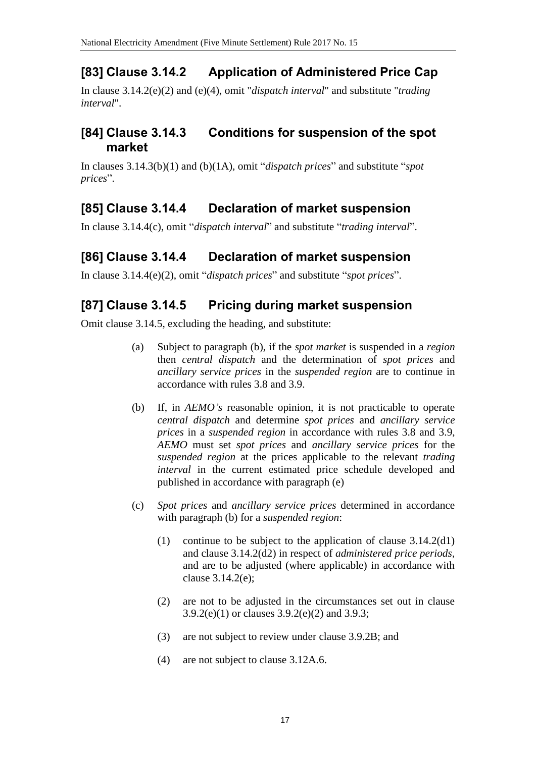## **[83] Clause 3.14.2 Application of Administered Price Cap**

In clause 3.14.2(e)(2) and (e)(4), omit "*dispatch interval*" and substitute "*trading interval*".

### **[84] Clause 3.14.3 Conditions for suspension of the spot market**

In clauses 3.14.3(b)(1) and (b)(1A), omit "*dispatch prices*" and substitute "*spot prices*".

## **[85] Clause 3.14.4 Declaration of market suspension**

In clause 3.14.4(c), omit "*dispatch interval*" and substitute "*trading interval*".

## **[86] Clause 3.14.4 Declaration of market suspension**

In clause 3.14.4(e)(2), omit "*dispatch prices*" and substitute "*spot prices*".

## **[87] Clause 3.14.5 Pricing during market suspension**

Omit clause 3.14.5, excluding the heading, and substitute:

- (a) Subject to paragraph (b), if the *spot market* is suspended in a *region* then *central dispatch* and the determination of *spot prices* and *ancillary service prices* in the *suspended region* are to continue in accordance with rules 3.8 and 3.9.
- (b) If, in *AEMO's* reasonable opinion, it is not practicable to operate *central dispatch* and determine *spot prices* and *ancillary service prices* in a *suspended region* in accordance with rules 3.8 and 3.9, *AEMO* must set *spot prices* and *ancillary service prices* for the *suspended region* at the prices applicable to the relevant *trading interval* in the current estimated price schedule developed and published in accordance with paragraph (e)
- (c) *Spot prices* and *ancillary service prices* determined in accordance with paragraph (b) for a *suspended region*:
	- (1) continue to be subject to the application of clause 3.14.2(d1) and clause 3.14.2(d2) in respect of *administered price periods*, and are to be adjusted (where applicable) in accordance with clause 3.14.2(e);
	- (2) are not to be adjusted in the circumstances set out in clause 3.9.2(e)(1) or clauses 3.9.2(e)(2) and 3.9.3;
	- (3) are not subject to review under clause 3.9.2B; and
	- (4) are not subject to clause 3.12A.6.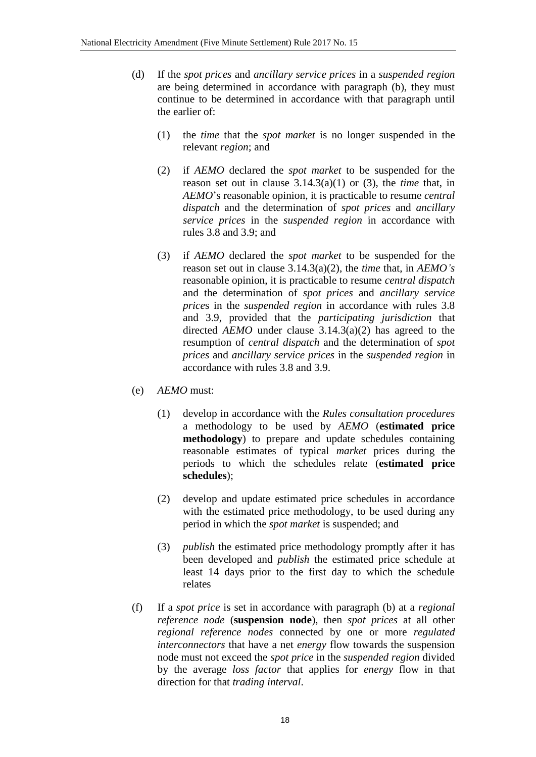- (d) If the *spot prices* and *ancillary service prices* in a *suspended region* are being determined in accordance with paragraph (b), they must continue to be determined in accordance with that paragraph until the earlier of:
	- (1) the *time* that the *spot market* is no longer suspended in the relevant *region*; and
	- (2) if *AEMO* declared the *spot market* to be suspended for the reason set out in clause 3.14.3(a)(1) or (3), the *time* that, in *AEMO*'s reasonable opinion, it is practicable to resume *central dispatch* and the determination of *spot prices* and *ancillary service prices* in the *suspended region* in accordance with rules 3.8 and 3.9; and
	- (3) if *AEMO* declared the *spot market* to be suspended for the reason set out in clause 3.14.3(a)(2), the *time* that, in *AEMO's* reasonable opinion, it is practicable to resume *central dispatch*  and the determination of *spot prices* and *ancillary service price*s in the *suspended region* in accordance with rules 3.8 and 3.9, provided that the *participating jurisdiction* that directed *AEMO* under clause 3.14.3(a)(2) has agreed to the resumption of *central dispatch* and the determination of *spot prices* and *ancillary service prices* in the *suspended region* in accordance with rules 3.8 and 3.9.
- (e) *AEMO* must:
	- (1) develop in accordance with the *Rules consultation procedures* a methodology to be used by *AEMO* (**estimated price methodology**) to prepare and update schedules containing reasonable estimates of typical *market* prices during the periods to which the schedules relate (**estimated price schedules**);
	- (2) develop and update estimated price schedules in accordance with the estimated price methodology, to be used during any period in which the *spot market* is suspended; and
	- (3) *publish* the estimated price methodology promptly after it has been developed and *publish* the estimated price schedule at least 14 days prior to the first day to which the schedule relates
- (f) If a *spot price* is set in accordance with paragraph (b) at a *regional reference node* (**suspension node**), then *spot prices* at all other *regional reference nodes* connected by one or more *regulated interconnectors* that have a net *energy* flow towards the suspension node must not exceed the *spot price* in the *suspended region* divided by the average *loss factor* that applies for *energy* flow in that direction for that *trading interval*.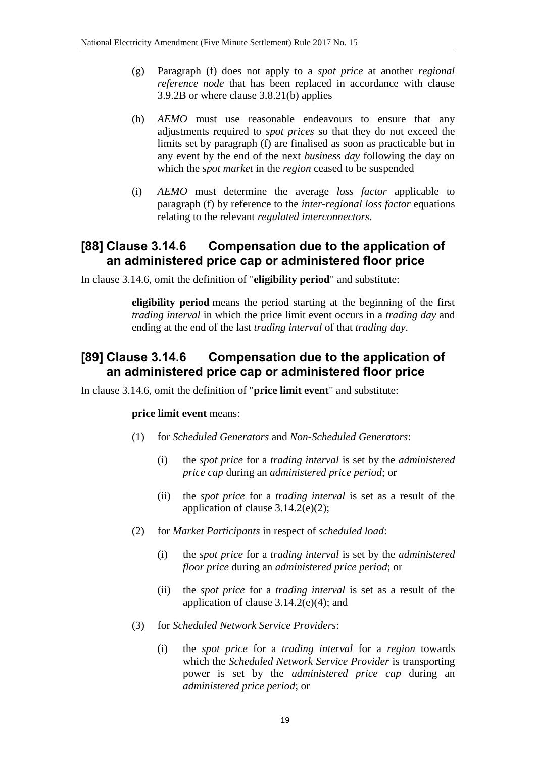- (g) Paragraph (f) does not apply to a *spot price* at another *regional reference node* that has been replaced in accordance with clause 3.9.2B or where clause 3.8.21(b) applies
- (h) *AEMO* must use reasonable endeavours to ensure that any adjustments required to *spot prices* so that they do not exceed the limits set by paragraph (f) are finalised as soon as practicable but in any event by the end of the next *business day* following the day on which the *spot market* in the *region* ceased to be suspended
- (i) *AEMO* must determine the average *loss factor* applicable to paragraph (f) by reference to the *inter-regional loss factor* equations relating to the relevant *regulated interconnectors*.

### **[88] Clause 3.14.6 Compensation due to the application of an administered price cap or administered floor price**

In clause 3.14.6, omit the definition of "**eligibility period**" and substitute:

**eligibility period** means the period starting at the beginning of the first *trading interval* in which the price limit event occurs in a *trading day* and ending at the end of the last *trading interval* of that *trading day*.

### **[89] Clause 3.14.6 Compensation due to the application of an administered price cap or administered floor price**

In clause 3.14.6, omit the definition of "**price limit event**" and substitute:

#### **price limit event** means:

- (1) for *Scheduled Generators* and *Non-Scheduled Generators*:
	- (i) the *spot price* for a *trading interval* is set by the *administered price cap* during an *administered price period*; or
	- (ii) the *spot price* for a *trading interval* is set as a result of the application of clause 3.14.2(e)(2);
- (2) for *Market Participants* in respect of *scheduled load*:
	- (i) the *spot price* for a *trading interval* is set by the *administered floor price* during an *administered price period*; or
	- (ii) the *spot price* for a *trading interval* is set as a result of the application of clause  $3.14.2(e)(4)$ ; and
- (3) for *Scheduled Network Service Providers*:
	- (i) the *spot price* for a *trading interval* for a *region* towards which the *Scheduled Network Service Provider* is transporting power is set by the *administered price cap* during an *administered price period*; or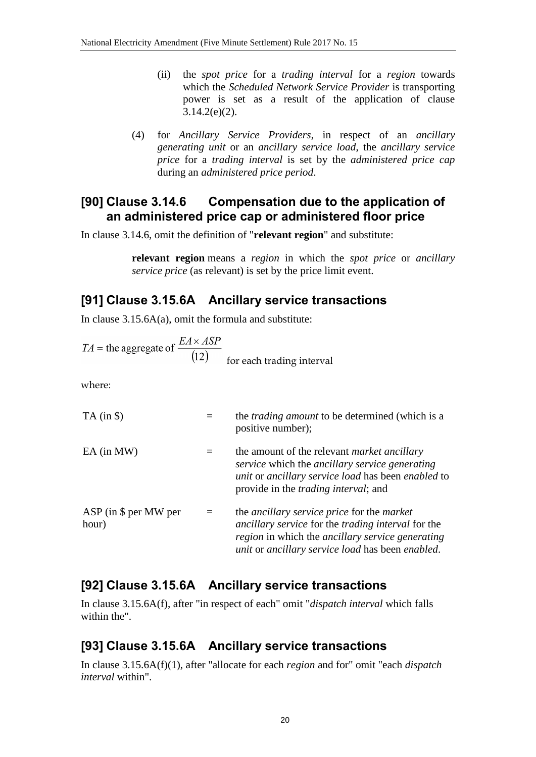- (ii) the *spot price* for a *trading interval* for a *region* towards which the *Scheduled Network Service Provider* is transporting power is set as a result of the application of clause  $3.14.2(e)(2)$ .
- (4) for *Ancillary Service Providers*, in respect of an *ancillary generating unit* or an *ancillary service load*, the *ancillary service price* for a *trading interval* is set by the *administered price cap* during an *administered price period*.

### **[90] Clause 3.14.6 Compensation due to the application of an administered price cap or administered floor price**

In clause 3.14.6, omit the definition of "**relevant region**" and substitute:

**relevant region** means a *region* in which the *spot price* or *ancillary service price* (as relevant) is set by the price limit event.

## **[91] Clause 3.15.6A Ancillary service transactions**

In clause  $3.15.6A(a)$ , omit the formula and substitute:

$$
TA
$$
 = the aggregate of  $\frac{EA \times ASP}{(12)}$  for each trading interval

where:

| $TA$ (in $\$\$ )                  |          | the <i>trading amount</i> to be determined (which is a<br>positive number);                                                                                                                                            |
|-----------------------------------|----------|------------------------------------------------------------------------------------------------------------------------------------------------------------------------------------------------------------------------|
| $EA$ (in MW)                      |          | the amount of the relevant <i>market ancillary</i><br>service which the ancillary service generating<br>unit or ancillary service load has been enabled to<br>provide in the <i>trading interval</i> ; and             |
| $ASP$ (in $$$ per MW per<br>hour) | $\equiv$ | the <i>ancillary service price</i> for the <i>market</i><br>ancillary service for the trading interval for the<br>region in which the ancillary service generating<br>unit or ancillary service load has been enabled. |

## **[92] Clause 3.15.6A Ancillary service transactions**

In clause 3.15.6A(f), after "in respect of each" omit "*dispatch interval* which falls within the".

## **[93] Clause 3.15.6A Ancillary service transactions**

In clause 3.15.6A(f)(1), after "allocate for each *region* and for" omit "each *dispatch interval* within".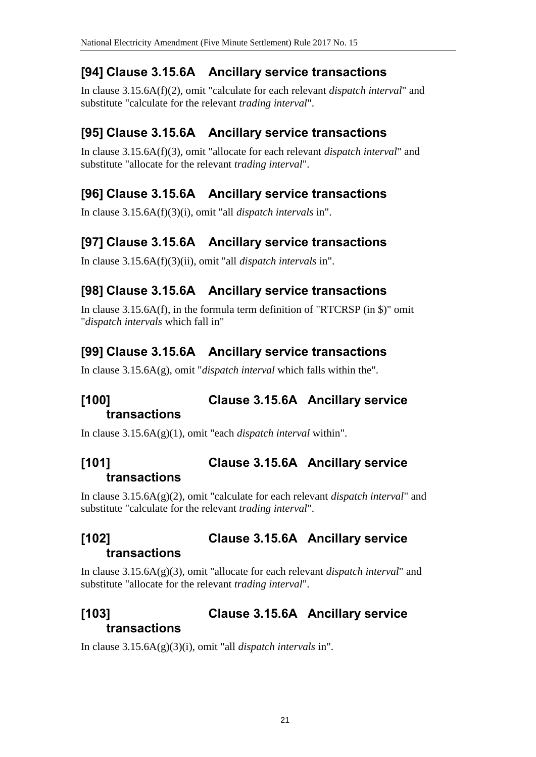# **[94] Clause 3.15.6A Ancillary service transactions**

In clause 3.15.6A(f)(2), omit "calculate for each relevant *dispatch interval*" and substitute "calculate for the relevant *trading interval*".

## **[95] Clause 3.15.6A Ancillary service transactions**

In clause 3.15.6A(f)(3), omit "allocate for each relevant *dispatch interval*" and substitute "allocate for the relevant *trading interval*".

## **[96] Clause 3.15.6A Ancillary service transactions**

In clause 3.15.6A(f)(3)(i), omit "all *dispatch intervals* in".

## **[97] Clause 3.15.6A Ancillary service transactions**

In clause 3.15.6A(f)(3)(ii), omit "all *dispatch intervals* in".

## **[98] Clause 3.15.6A Ancillary service transactions**

In clause  $3.15.6A(f)$ , in the formula term definition of "RTCRSP (in \$)" omit "*dispatch intervals* which fall in"

# **[99] Clause 3.15.6A Ancillary service transactions**

In clause 3.15.6A(g), omit "*dispatch interval* which falls within the".

## **[100] Clause 3.15.6A Ancillary service transactions**

In clause 3.15.6A(g)(1), omit "each *dispatch interval* within".

## **[101] Clause 3.15.6A Ancillary service transactions**

In clause 3.15.6A(g)(2), omit "calculate for each relevant *dispatch interval*" and substitute "calculate for the relevant *trading interval*".

## **[102] Clause 3.15.6A Ancillary service transactions**

In clause 3.15.6A(g)(3), omit "allocate for each relevant *dispatch interval*" and substitute "allocate for the relevant *trading interval*".

## **[103] Clause 3.15.6A Ancillary service transactions**

In clause 3.15.6A(g)(3)(i), omit "all *dispatch intervals* in".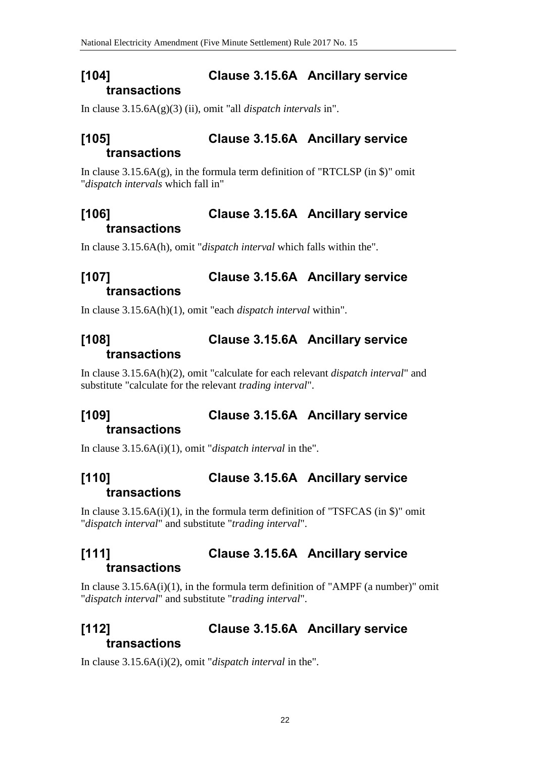## **[104] Clause 3.15.6A Ancillary service transactions**

In clause 3.15.6A(g)(3) (ii), omit "all *dispatch intervals* in".

## **[105] Clause 3.15.6A Ancillary service transactions**

In clause  $3.15.6A(g)$ , in the formula term definition of "RTCLSP (in \$)" omit "*dispatch intervals* which fall in"

## **[106] Clause 3.15.6A Ancillary service transactions**

In clause 3.15.6A(h), omit "*dispatch interval* which falls within the".

## **[107] Clause 3.15.6A Ancillary service transactions**

In clause 3.15.6A(h)(1), omit "each *dispatch interval* within".

## **[108] Clause 3.15.6A Ancillary service transactions**

In clause 3.15.6A(h)(2), omit "calculate for each relevant *dispatch interval*" and substitute "calculate for the relevant *trading interval*".

## **[109] Clause 3.15.6A Ancillary service transactions**

In clause 3.15.6A(i)(1), omit "*dispatch interval* in the".

## **[110] Clause 3.15.6A Ancillary service transactions**

In clause  $3.15.6A(i)(1)$ , in the formula term definition of "TSFCAS (in \$)" omit "*dispatch interval*" and substitute "*trading interval*".

## **[111] Clause 3.15.6A Ancillary service transactions**

In clause  $3.15.6A(i)(1)$ , in the formula term definition of "AMPF (a number)" omit "*dispatch interval*" and substitute "*trading interval*".

## **[112] Clause 3.15.6A Ancillary service transactions**

In clause 3.15.6A(i)(2), omit "*dispatch interval* in the".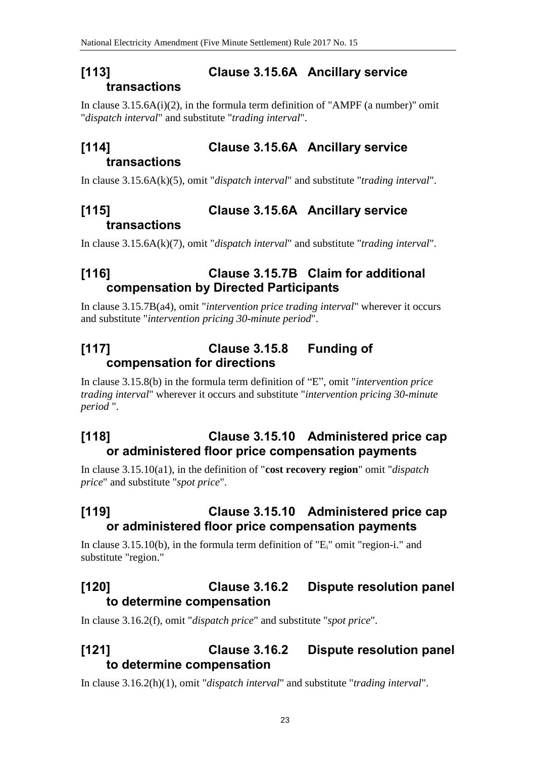## **[113] Clause 3.15.6A Ancillary service transactions**

In clause  $3.15.6A(i)(2)$ , in the formula term definition of "AMPF (a number)" omit "*dispatch interval*" and substitute "*trading interval*".

## **[114] Clause 3.15.6A Ancillary service transactions**

In clause 3.15.6A(k)(5), omit "*dispatch interval*" and substitute "*trading interval*".

## **[115] Clause 3.15.6A Ancillary service transactions**

In clause 3.15.6A(k)(7), omit "*dispatch interval*" and substitute "*trading interval*".

## **[116] Clause 3.15.7B Claim for additional compensation by Directed Participants**

In clause 3.15.7B(a4), omit "*intervention price trading interval*" wherever it occurs and substitute "*intervention pricing 30-minute period*".

## **[117] Clause 3.15.8 Funding of compensation for directions**

In clause 3.15.8(b) in the formula term definition of "E", omit "*intervention price trading interval*" wherever it occurs and substitute "*intervention pricing 30-minute period* ".

## **[118] Clause 3.15.10 Administered price cap or administered floor price compensation payments**

In clause 3.15.10(a1), in the definition of "**cost recovery region**" omit "*dispatch price*" and substitute "*spot price*".

## **[119] Clause 3.15.10 Administered price cap or administered floor price compensation payments**

In clause  $3.15.10(b)$ , in the formula term definition of " $E_i$ " omit "region-i." and substitute "region."

## **[120] Clause 3.16.2 Dispute resolution panel to determine compensation**

In clause 3.16.2(f), omit "*dispatch price*" and substitute "*spot price*".

## **[121] Clause 3.16.2 Dispute resolution panel to determine compensation**

In clause 3.16.2(h)(1), omit "*dispatch interval*" and substitute "*trading interval*".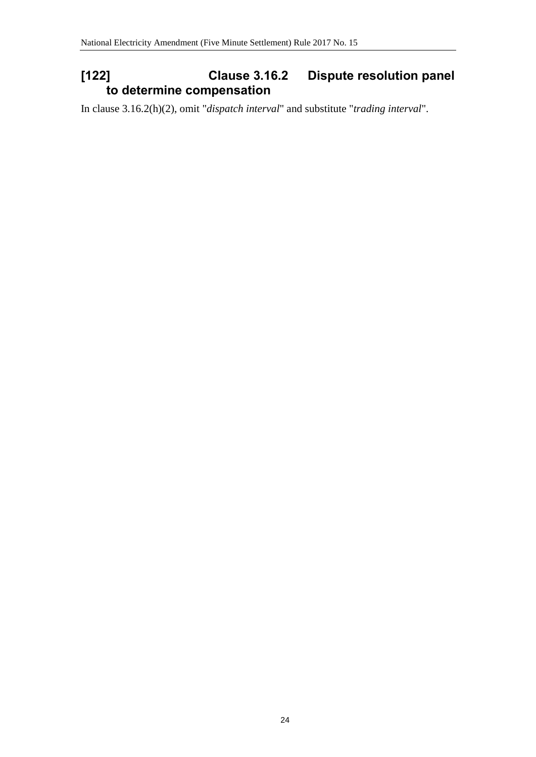## **[122] Clause 3.16.2 Dispute resolution panel to determine compensation**

In clause 3.16.2(h)(2), omit "*dispatch interval*" and substitute "*trading interval*".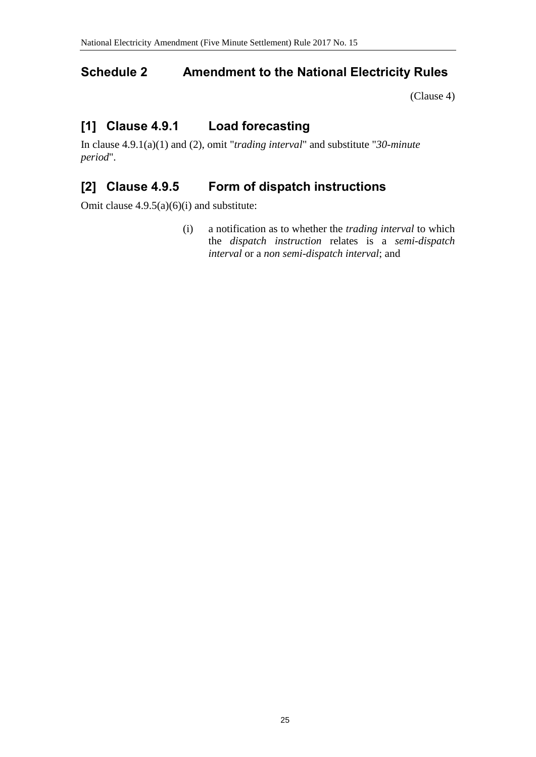## <span id="page-25-0"></span>**Schedule 2 Amendment to the National Electricity Rules**

(Clause 4)

## **[1] Clause 4.9.1 Load forecasting**

In clause 4.9.1(a)(1) and (2), omit "*trading interval*" and substitute "*30-minute period*".

## **[2] Clause 4.9.5 Form of dispatch instructions**

Omit clause 4.9.5(a)(6)(i) and substitute:

(i) a notification as to whether the *trading interval* to which the *dispatch instruction* relates is a *semi-dispatch interval* or a *non semi-dispatch interval*; and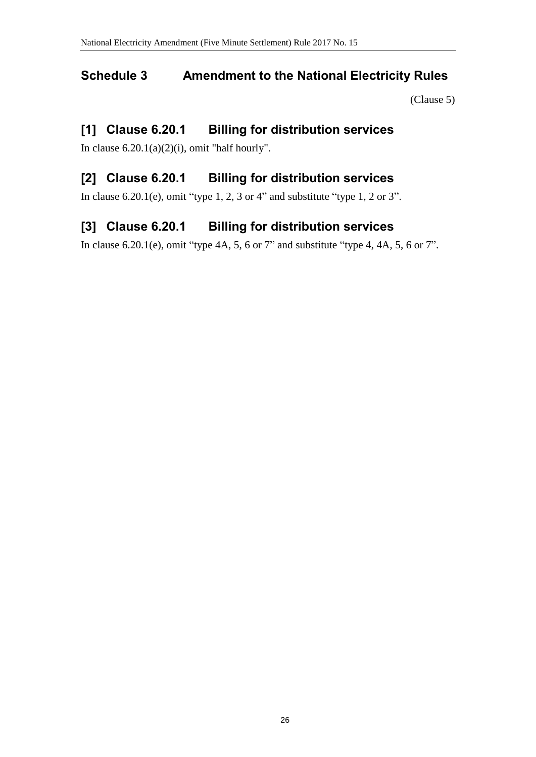## <span id="page-26-0"></span>**Schedule 3 Amendment to the National Electricity Rules**

(Clause 5)

## **[1] Clause 6.20.1 Billing for distribution services**

In clause  $6.20.1(a)(2)(i)$ , omit "half hourly".

## **[2] Clause 6.20.1 Billing for distribution services**

In clause  $6.20.1(e)$ , omit "type 1, 2, 3 or 4" and substitute "type 1, 2 or 3".

## **[3] Clause 6.20.1 Billing for distribution services**

In clause  $6.20.1(e)$ , omit "type  $4A$ ,  $5$ ,  $6$  or  $7$ " and substitute "type  $4$ ,  $4A$ ,  $5$ ,  $6$  or  $7$ ".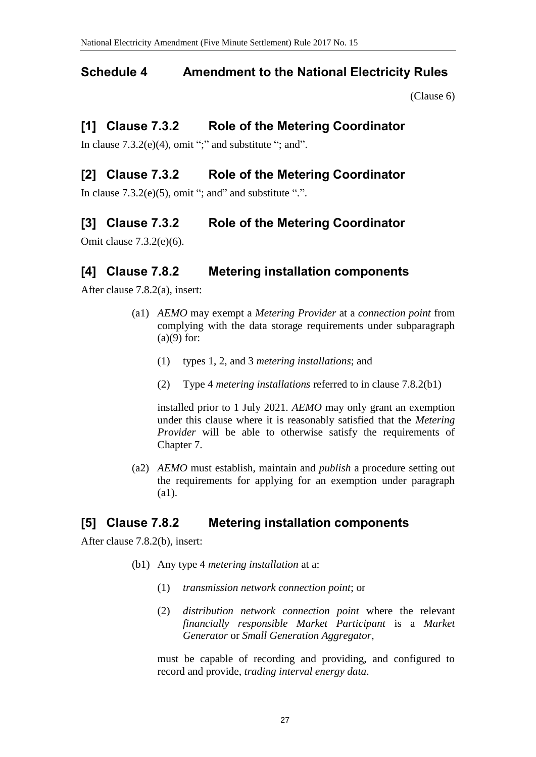## <span id="page-27-0"></span>**Schedule 4 Amendment to the National Electricity Rules**

(Clause 6)

## **[1] Clause 7.3.2 Role of the Metering Coordinator**

In clause  $7.3.2(e)(4)$ , omit ";" and substitute "; and".

## **[2] Clause 7.3.2 Role of the Metering Coordinator**

In clause  $7.3.2(e)(5)$ , omit "; and and substitute ".".

## **[3] Clause 7.3.2 Role of the Metering Coordinator**

Omit clause 7.3.2(e)(6).

## **[4] Clause 7.8.2 Metering installation components**

After clause 7.8.2(a), insert:

- (a1) *AEMO* may exempt a *Metering Provider* at a *connection point* from complying with the data storage requirements under subparagraph  $(a)(9)$  for:
	- (1) types 1, 2, and 3 *metering installations*; and
	- (2) Type 4 *metering installations* referred to in clause 7.8.2(b1)

installed prior to 1 July 2021. *AEMO* may only grant an exemption under this clause where it is reasonably satisfied that the *Metering Provider* will be able to otherwise satisfy the requirements of Chapter 7.

(a2) *AEMO* must establish, maintain and *publish* a procedure setting out the requirements for applying for an exemption under paragraph (a1).

## **[5] Clause 7.8.2 Metering installation components**

After clause 7.8.2(b), insert:

- (b1) Any type 4 *metering installation* at a:
	- (1) *transmission network connection point*; or
	- (2) *distribution network connection point* where the relevant *financially responsible Market Participant* is a *Market Generator* or *Small Generation Aggregator*,

must be capable of recording and providing, and configured to record and provide, *trading interval energy data*.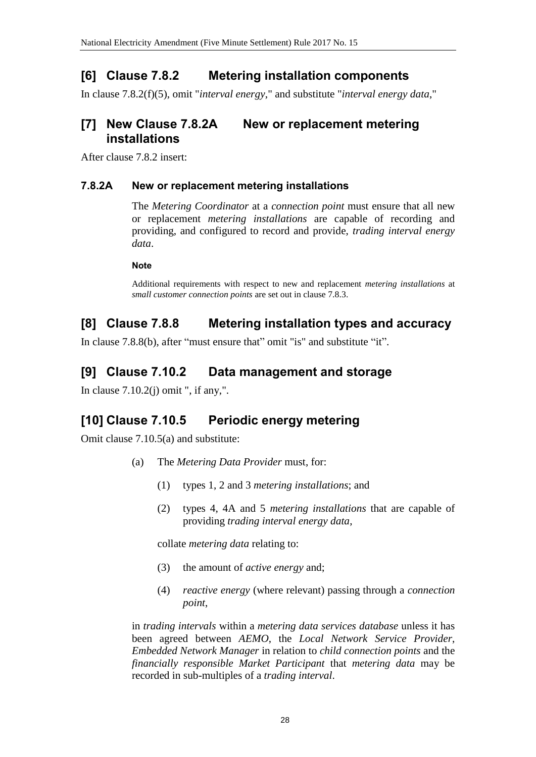## **[6] Clause 7.8.2 Metering installation components**

In clause 7.8.2(f)(5), omit "*interval energy*," and substitute "*interval energy data*,"

### **[7] New Clause 7.8.2A New or replacement metering installations**

After clause 7.8.2 insert:

#### **7.8.2A New or replacement metering installations**

The *Metering Coordinator* at a *connection point* must ensure that all new or replacement *metering installations* are capable of recording and providing, and configured to record and provide, *trading interval energy data*.

**Note**

Additional requirements with respect to new and replacement *metering installations* at *small customer connection points* are set out in clause 7.8.3.

## **[8] Clause 7.8.8 Metering installation types and accuracy**

In clause 7.8.8(b), after "must ensure that" omit "is" and substitute "it".

### **[9] Clause 7.10.2 Data management and storage**

In clause  $7.10.2(j)$  omit ", if any,".

## **[10] Clause 7.10.5 Periodic energy metering**

Omit clause 7.10.5(a) and substitute:

- (a) The *Metering Data Provider* must, for:
	- (1) types 1, 2 and 3 *metering installations*; and
	- (2) types 4, 4A and 5 *metering installations* that are capable of providing *trading interval energy data*,

collate *metering data* relating to:

- (3) the amount of *active energy* and;
- (4) *reactive energy* (where relevant) passing through a *connection point*,

in *trading intervals* within a *metering data services database* unless it has been agreed between *AEMO*, the *Local Network Service Provider*, *Embedded Network Manager* in relation to *child connection points* and the *financially responsible Market Participant* that *metering data* may be recorded in sub-multiples of a *trading interval*.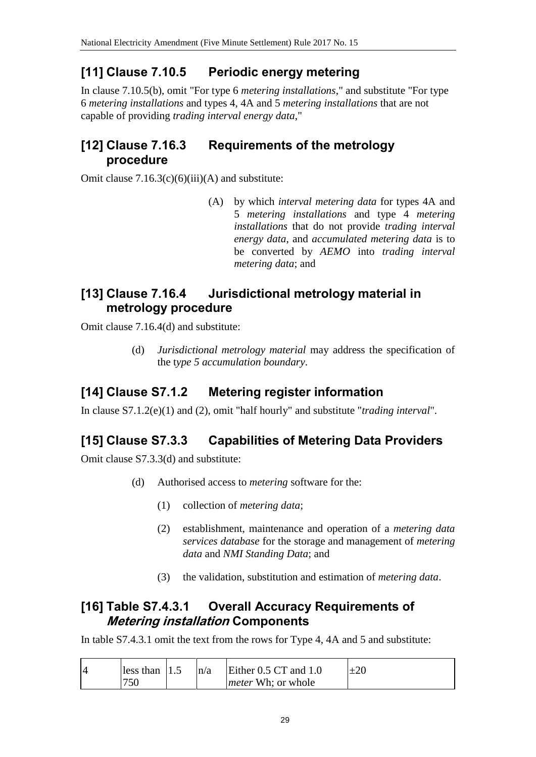# **[11] Clause 7.10.5 Periodic energy metering**

In clause 7.10.5(b), omit "For type 6 *metering installations*," and substitute "For type 6 *metering installations* and types 4, 4A and 5 *metering installations* that are not capable of providing *trading interval energy data*,"

## **[12] Clause 7.16.3 Requirements of the metrology procedure**

Omit clause  $7.16.3(c)(6)(iii)(A)$  and substitute:

(A) by which *interval metering data* for types 4A and 5 *metering installations* and type 4 *metering installations* that do not provide *trading interval energy data*, and *accumulated metering data* is to be converted by *AEMO* into *trading interval metering data*; and

## **[13] Clause 7.16.4 Jurisdictional metrology material in metrology procedure**

Omit clause 7.16.4(d) and substitute:

(d) *Jurisdictional metrology material* may address the specification of the t*ype 5 accumulation boundary*.

## **[14] Clause S7.1.2 Metering register information**

In clause S7.1.2(e)(1) and (2), omit "half hourly" and substitute "*trading interval*".

## **[15] Clause S7.3.3 Capabilities of Metering Data Providers**

Omit clause S7.3.3(d) and substitute:

- (d) Authorised access to *metering* software for the:
	- (1) collection of *metering data*;
	- (2) establishment, maintenance and operation of a *metering data services database* for the storage and management of *metering data* and *NMI Standing Data*; and
	- (3) the validation, substitution and estimation of *metering data*.

## **[16] Table S7.4.3.1 Overall Accuracy Requirements of Metering installation Components**

In table S7.4.3.1 omit the text from the rows for Type 4, 4A and 5 and substitute:

| less than $ 1.5 $ | n/a | Either 0.5 CT and 1.0     | $\pm 20$ |
|-------------------|-----|---------------------------|----------|
| 750               |     | <i>meter</i> Wh; or whole |          |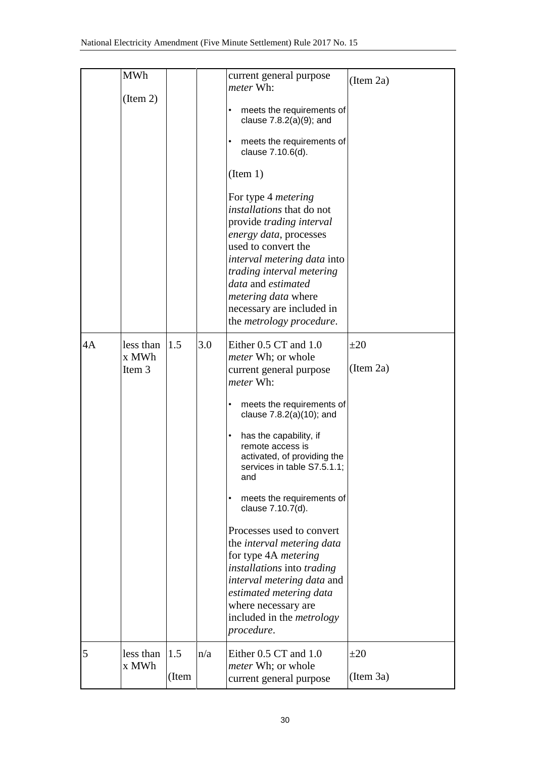|    | <b>MWh</b><br>(Item 2)       |              |     | current general purpose<br><i>meter</i> Wh:<br>meets the requirements of<br>$\bullet$<br>clause $7.8.2(a)(9)$ ; and<br>meets the requirements of<br>clause 7.10.6(d).<br>(Item 1)<br>For type 4 <i>metering</i><br><i>installations</i> that do not<br>provide trading interval<br>energy data, processes<br>used to convert the<br><i>interval metering data into</i><br>trading interval metering<br>data and estimated<br><i>metering data</i> where<br>necessary are included in<br>the <i>metrology</i> procedure.                                                                                                      | (Item 2a)             |
|----|------------------------------|--------------|-----|------------------------------------------------------------------------------------------------------------------------------------------------------------------------------------------------------------------------------------------------------------------------------------------------------------------------------------------------------------------------------------------------------------------------------------------------------------------------------------------------------------------------------------------------------------------------------------------------------------------------------|-----------------------|
| 4A | less than<br>x MWh<br>Item 3 | 1.5          | 3.0 | Either 0.5 CT and 1.0<br><i>meter</i> Wh; or whole<br>current general purpose<br>meter Wh:<br>meets the requirements of<br>$\bullet$<br>clause $7.8.2(a)(10)$ ; and<br>has the capability, if<br>٠<br>remote access is<br>activated, of providing the<br>services in table S7.5.1.1;<br>and<br>meets the requirements of<br>clause 7.10.7(d).<br>Processes used to convert<br>the <i>interval</i> metering data<br>for type 4A <i>metering</i><br><i>installations</i> into <i>trading</i><br>interval metering data and<br>estimated metering data<br>where necessary are<br>included in the <i>metrology</i><br>procedure. | $\pm 20$<br>(Item 2a) |
| 5  | less than<br>x MWh           | 1.5<br>(Item | n/a | Either 0.5 CT and 1.0<br><i>meter</i> Wh; or whole<br>current general purpose                                                                                                                                                                                                                                                                                                                                                                                                                                                                                                                                                | $\pm 20$<br>(Item 3a) |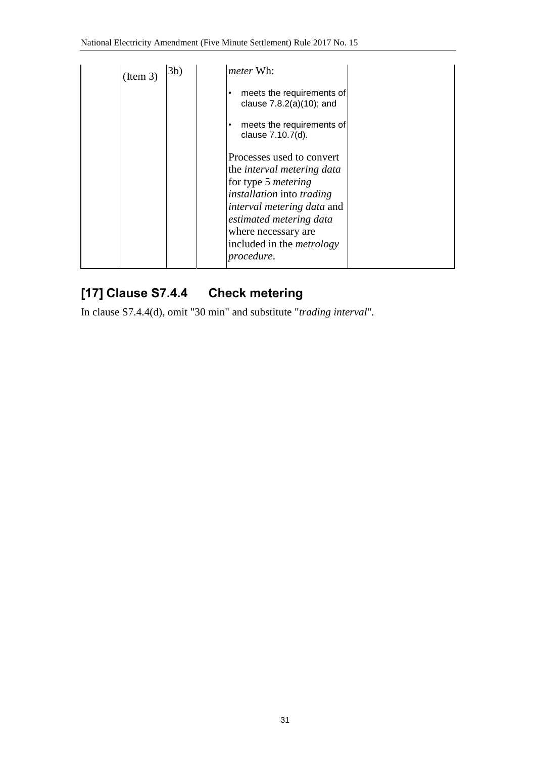| (Item 3) | 3 <sub>b</sub> | <i>meter</i> Wh:                                                                                                                                                                                                                                                                  |  |
|----------|----------------|-----------------------------------------------------------------------------------------------------------------------------------------------------------------------------------------------------------------------------------------------------------------------------------|--|
|          |                | meets the requirements of<br>$\bullet$<br>clause $7.8.2(a)(10)$ ; and                                                                                                                                                                                                             |  |
|          |                | meets the requirements of<br>$\bullet$<br>clause 7.10.7(d).                                                                                                                                                                                                                       |  |
|          |                | Processes used to convert<br>the <i>interval</i> metering data<br>for type 5 <i>metering</i><br><i>installation</i> into <i>trading</i><br><i>interval metering data and</i><br>estimated metering data<br>where necessary are.<br>included in the <i>metrology</i><br>procedure. |  |

# **[17] Clause S7.4.4 Check metering**

In clause S7.4.4(d), omit "30 min" and substitute "*trading interval*".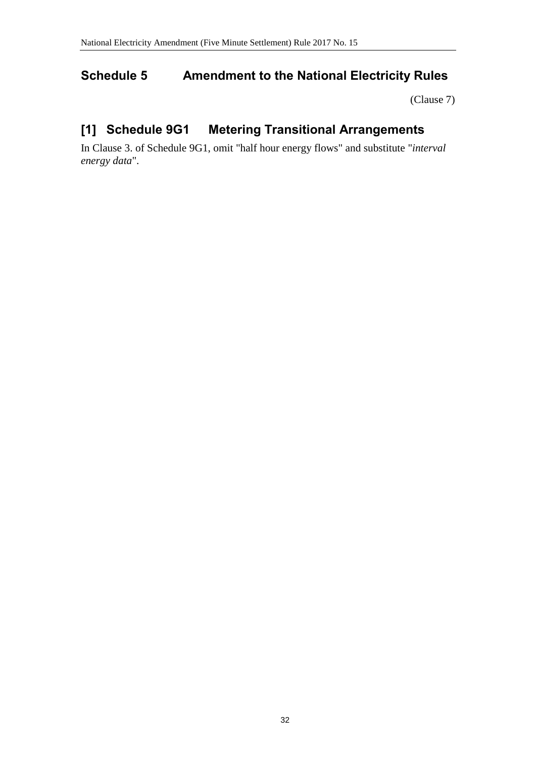## <span id="page-32-0"></span>**Schedule 5 Amendment to the National Electricity Rules**

[\(Clause 7\)](#page-2-1)

## **[1] Schedule 9G1 Metering Transitional Arrangements**

In Clause 3. of Schedule 9G1, omit "half hour energy flows" and substitute "*interval energy data*".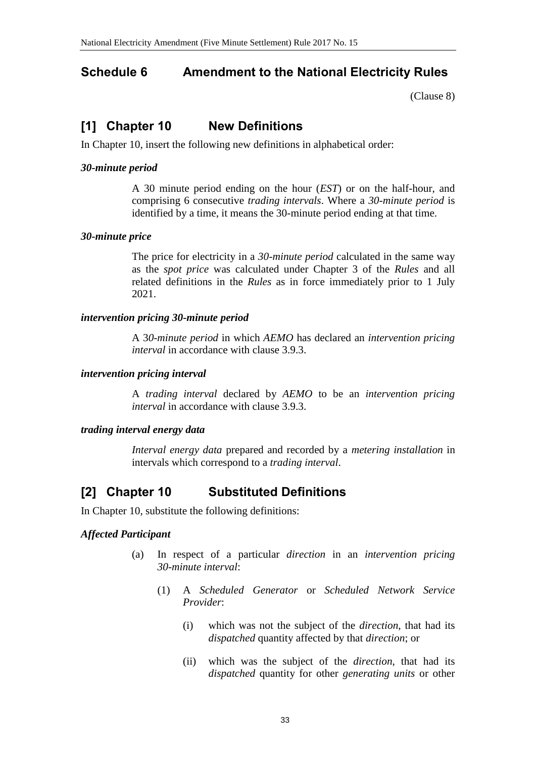### <span id="page-33-0"></span>**Schedule 6 Amendment to the National Electricity Rules**

[\(Clause 8\)](#page-2-2)

## **[1] Chapter 10 New Definitions**

In Chapter 10, insert the following new definitions in alphabetical order:

#### *30-minute period*

A 30 minute period ending on the hour (*EST*) or on the half-hour, and comprising 6 consecutive *trading intervals*. Where a *30-minute period* is identified by a time, it means the 30-minute period ending at that time.

#### *30-minute price*

The price for electricity in a *30-minute period* calculated in the same way as the *spot price* was calculated under Chapter 3 of the *Rules* and all related definitions in the *Rules* as in force immediately prior to 1 July 2021.

#### *intervention pricing 30-minute period*

A 3*0-minute period* in which *AEMO* has declared an *intervention pricing interval* in accordance with clause 3.9.3.

#### *intervention pricing interval*

A *trading interval* declared by *AEMO* to be an *intervention pricing interval* in accordance with clause 3.9.3.

#### *trading interval energy data*

*Interval energy data* prepared and recorded by a *metering installation* in intervals which correspond to a *trading interval*.

### **[2] Chapter 10 Substituted Definitions**

In Chapter 10, substitute the following definitions:

#### *Affected Participant*

- (a) In respect of a particular *direction* in an *intervention pricing 30-minute interval*:
	- (1) A *Scheduled Generator* or *Scheduled Network Service Provider*:
		- (i) which was not the subject of the *direction*, that had its *dispatched* quantity affected by that *direction*; or
		- (ii) which was the subject of the *direction*, that had its *dispatched* quantity for other *generating units* or other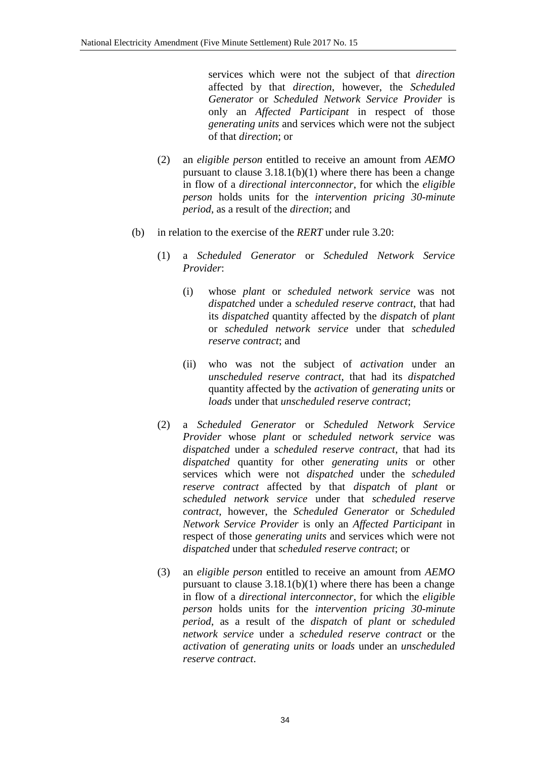services which were not the subject of that *direction*  affected by that *direction*, however, the *Scheduled Generator* or *Scheduled Network Service Provider* is only an *Affected Participant* in respect of those *generating units* and services which were not the subject of that *direction*; or

- (2) an *eligible person* entitled to receive an amount from *AEMO*  pursuant to clause  $3.18.1(b)(1)$  where there has been a change in flow of a *directional interconnector*, for which the *eligible person* holds units for the *intervention pricing 30-minute period*, as a result of the *direction*; and
- (b) in relation to the exercise of the *RERT* under rule 3.20:
	- (1) a *Scheduled Generator* or *Scheduled Network Service Provider*:
		- (i) whose *plant* or *scheduled network service* was not *dispatched* under a *scheduled reserve contract*, that had its *dispatched* quantity affected by the *dispatch* of *plant* or *scheduled network service* under that *scheduled reserve contract*; and
		- (ii) who was not the subject of *activation* under an *unscheduled reserve contract*, that had its *dispatched* quantity affected by the *activation* of *generating units* or *loads* under that *unscheduled reserve contract*;
	- (2) a *Scheduled Generator* or *Scheduled Network Service Provider* whose *plant* or *scheduled network service* was *dispatched* under a *scheduled reserve contract*, that had its *dispatched* quantity for other *generating units* or other services which were not *dispatched* under the *scheduled reserve contract* affected by that *dispatch* of *plant* or *scheduled network service* under that *scheduled reserve contract*, however, the *Scheduled Generator* or *Scheduled Network Service Provider* is only an *Affected Participant* in respect of those *generating units* and services which were not *dispatched* under that *scheduled reserve contract*; or
	- (3) an *eligible person* entitled to receive an amount from *AEMO* pursuant to clause  $3.18.1(b)(1)$  where there has been a change in flow of a *directional interconnector*, for which the *eligible person* holds units for the *intervention pricing 30-minute period*, as a result of the *dispatch* of *plant* or *scheduled network service* under a *scheduled reserve contract* or the *activation* of *generating units* or *loads* under an *unscheduled reserve contract*.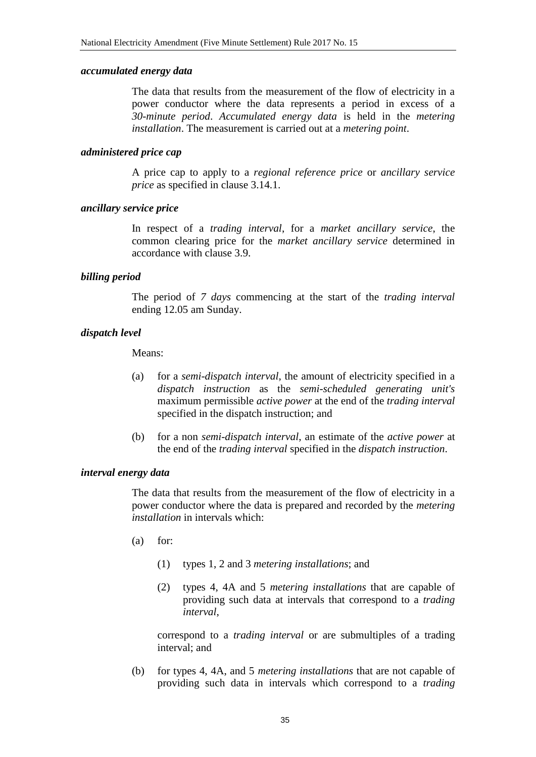#### *accumulated energy data*

The data that results from the measurement of the flow of electricity in a power conductor where the data represents a period in excess of a *30-minute period*. *Accumulated energy data* is held in the *metering installation*. The measurement is carried out at a *metering point*.

#### *administered price cap*

A price cap to apply to a *regional reference price* or *ancillary service price* as specified in clause 3.14.1.

#### *ancillary service price*

In respect of a *trading interval*, for a *market ancillary service*, the common clearing price for the *market ancillary service* determined in accordance with clause 3.9.

#### *billing period*

The period of *7 days* commencing at the start of the *trading interval* ending 12.05 am Sunday.

#### *dispatch level*

Means:

- (a) for a *semi-dispatch interval*, the amount of electricity specified in a *dispatch instruction* as the *semi-scheduled generating unit's* maximum permissible *active power* at the end of the *trading interval* specified in the dispatch instruction; and
- (b) for a non *semi-dispatch interval*, an estimate of the *active power* at the end of the *trading interval* specified in the *dispatch instruction*.

#### *interval energy data*

The data that results from the measurement of the flow of electricity in a power conductor where the data is prepared and recorded by the *metering installation* in intervals which:

- (a) for:
	- (1) types 1, 2 and 3 *metering installations*; and
	- (2) types 4, 4A and 5 *metering installations* that are capable of providing such data at intervals that correspond to a *trading interval*,

correspond to a *trading interval* or are submultiples of a trading interval; and

(b) for types 4, 4A, and 5 *metering installations* that are not capable of providing such data in intervals which correspond to a *trading*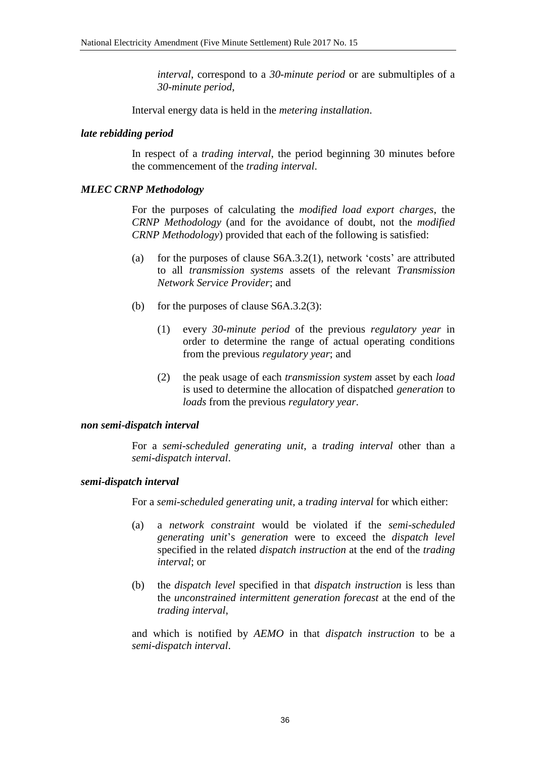*interval*, correspond to a *30-minute period* or are submultiples of a *30-minute period*,

Interval energy data is held in the *metering installation*.

#### *late rebidding period*

In respect of a *trading interval*, the period beginning 30 minutes before the commencement of the *trading interval*.

#### *MLEC CRNP Methodology*

For the purposes of calculating the *modified load export charges*, the *CRNP Methodology* (and for the avoidance of doubt, not the *modified CRNP Methodology*) provided that each of the following is satisfied:

- (a) for the purposes of clause S6A.3.2(1), network 'costs' are attributed to all *transmission systems* assets of the relevant *Transmission Network Service Provider*; and
- (b) for the purposes of clause  $S6A.3.2(3)$ :
	- (1) every *30-minute period* of the previous *regulatory year* in order to determine the range of actual operating conditions from the previous *regulatory year*; and
	- (2) the peak usage of each *transmission system* asset by each *load* is used to determine the allocation of dispatched *generation* to *loads* from the previous *regulatory year*.

#### *non semi-dispatch interval*

For a *semi-scheduled generating unit*, a *trading interval* other than a *semi-dispatch interval*.

#### *semi-dispatch interval*

For a *semi-scheduled generating unit*, a *trading interval* for which either:

- (a) a *network constraint* would be violated if the *semi-scheduled generating unit*'s *generation* were to exceed the *dispatch level* specified in the related *dispatch instruction* at the end of the *trading interval*; or
- (b) the *dispatch level* specified in that *dispatch instruction* is less than the *unconstrained intermittent generation forecast* at the end of the *trading interval*,

and which is notified by *AEMO* in that *dispatch instruction* to be a *semi-dispatch interval*.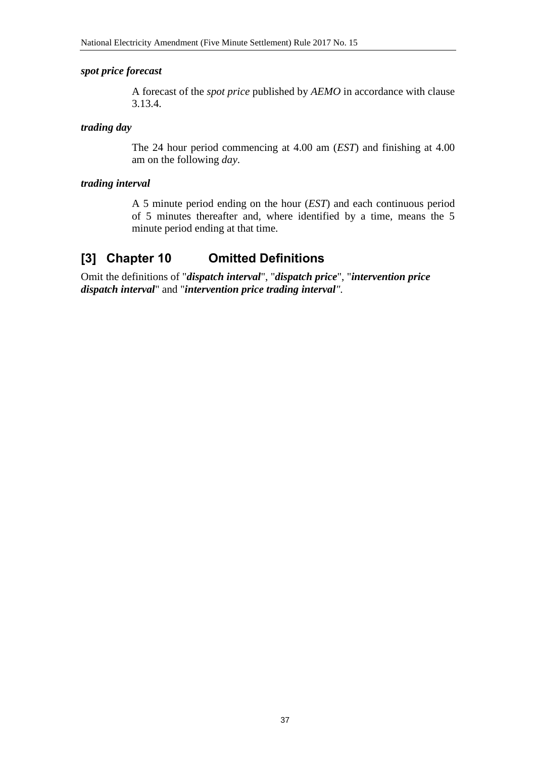#### *spot price forecast*

A forecast of the *spot price* published by *AEMO* in accordance with clause 3.13.4.

#### *trading day*

The 24 hour period commencing at 4.00 am (*EST*) and finishing at 4.00 am on the following *day*.

#### <span id="page-37-0"></span>*trading interval*

A 5 minute period ending on the hour (*EST*) and each continuous period of 5 minutes thereafter and, where identified by a time, means the 5 minute period ending at that time.

## **[3] Chapter 10 Omitted Definitions**

Omit the definitions of "*dispatch interval*", "*dispatch price*", "*intervention price dispatch interval*" and "*intervention price trading interval".*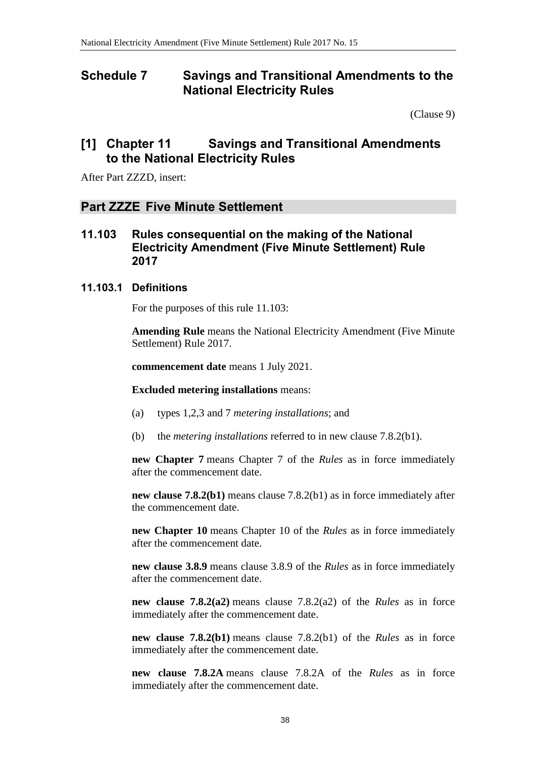### <span id="page-38-0"></span>**Schedule 7 Savings and Transitional Amendments to the National Electricity Rules**

[\(Clause 9\)](#page-2-3)

### **[1] Chapter 11 Savings and Transitional Amendments to the National Electricity Rules**

After Part ZZZD, insert:

#### **Part ZZZE Five Minute Settlement**

#### **11.103 Rules consequential on the making of the National Electricity Amendment (Five Minute Settlement) Rule 2017**

#### **11.103.1 Definitions**

For the purposes of this rule 11.103:

**Amending Rule** means the National Electricity Amendment (Five Minute Settlement) Rule 2017.

**commencement date** means 1 July 2021.

**Excluded metering installations** means:

- (a) types 1,2,3 and 7 *metering installations*; and
- (b) the *metering installations* referred to in new clause 7.8.2(b1).

**new Chapter 7** means Chapter 7 of the *Rules* as in force immediately after the commencement date.

**new clause 7.8.2(b1)** means clause 7.8.2(b1) as in force immediately after the commencement date.

**new Chapter 10** means Chapter 10 of the *Rules* as in force immediately after the commencement date.

**new clause 3.8.9** means clause 3.8.9 of the *Rules* as in force immediately after the commencement date.

**new clause 7.8.2(a2)** means clause 7.8.2(a2) of the *Rules* as in force immediately after the commencement date.

**new clause 7.8.2(b1)** means clause 7.8.2(b1) of the *Rules* as in force immediately after the commencement date.

**new clause 7.8.2A** means clause 7.8.2A of the *Rules* as in force immediately after the commencement date.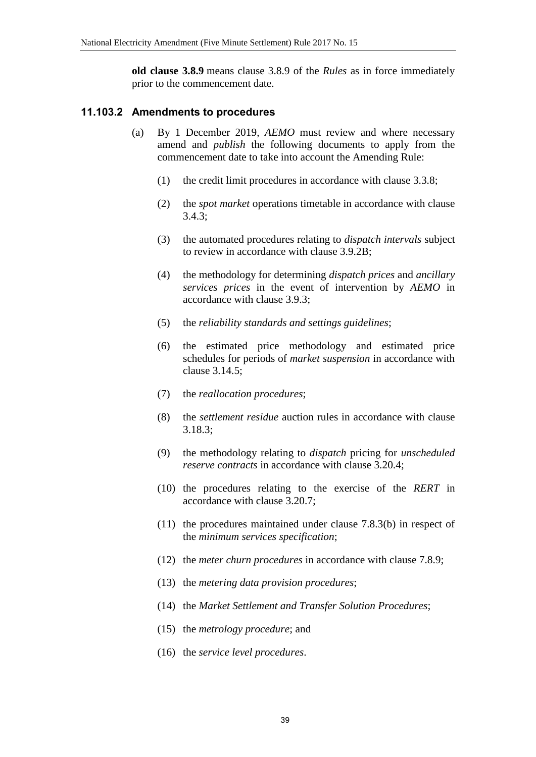**old clause 3.8.9** means clause 3.8.9 of the *Rules* as in force immediately prior to the commencement date.

#### **11.103.2 Amendments to procedures**

- (a) By 1 December 2019, *AEMO* must review and where necessary amend and *publish* the following documents to apply from the commencement date to take into account the Amending Rule:
	- (1) the credit limit procedures in accordance with clause 3.3.8;
	- (2) the *spot market* operations timetable in accordance with clause 3.4.3;
	- (3) the automated procedures relating to *dispatch intervals* subject to review in accordance with clause 3.9.2B;
	- (4) the methodology for determining *dispatch prices* and *ancillary services prices* in the event of intervention by *AEMO* in accordance with clause 3.9.3;
	- (5) the *reliability standards and settings guidelines*;
	- (6) the estimated price methodology and estimated price schedules for periods of *market suspension* in accordance with clause 3.14.5;
	- (7) the *reallocation procedures*;
	- (8) the *settlement residue* auction rules in accordance with clause 3.18.3;
	- (9) the methodology relating to *dispatch* pricing for *unscheduled reserve contracts* in accordance with clause 3.20.4;
	- (10) the procedures relating to the exercise of the *RERT* in accordance with clause 3.20.7;
	- (11) the procedures maintained under clause 7.8.3(b) in respect of the *minimum services specification*;
	- (12) the *meter churn procedures* in accordance with clause 7.8.9;
	- (13) the *metering data provision procedures*;
	- (14) the *Market Settlement and Transfer Solution Procedures*;
	- (15) the *metrology procedure*; and
	- (16) the *service level procedures*.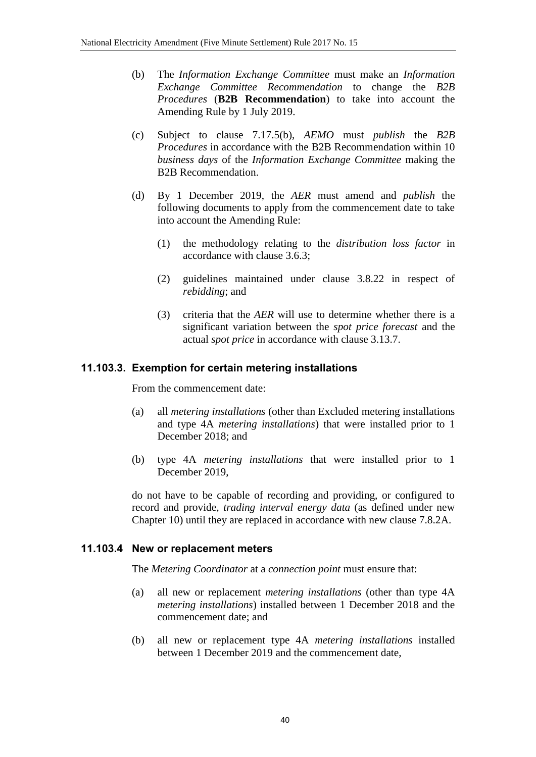- (b) The *Information Exchange Committee* must make an *Information Exchange Committee Recommendation* to change the *B2B Procedures* (**B2B Recommendation**) to take into account the Amending Rule by 1 July 2019.
- (c) Subject to clause 7.17.5(b), *AEMO* must *publish* the *B2B Procedures* in accordance with the B2B Recommendation within 10 *business days* of the *Information Exchange Committee* making the B2B Recommendation.
- (d) By 1 December 2019, the *AER* must amend and *publish* the following documents to apply from the commencement date to take into account the Amending Rule:
	- (1) the methodology relating to the *distribution loss factor* in accordance with clause 3.6.3;
	- (2) guidelines maintained under clause 3.8.22 in respect of *rebidding*; and
	- (3) criteria that the *AER* will use to determine whether there is a significant variation between the *spot price forecast* and the actual *spot price* in accordance with clause 3.13.7.

#### **11.103.3. Exemption for certain metering installations**

From the commencement date:

- (a) all *metering installations* (other than Excluded metering installations and type 4A *metering installations*) that were installed prior to 1 December 2018; and
- (b) type 4A *metering installations* that were installed prior to 1 December 2019,

do not have to be capable of recording and providing, or configured to record and provide, *trading interval energy data* (as defined under new Chapter 10) until they are replaced in accordance with new clause 7.8.2A.

#### **11.103.4 New or replacement meters**

The *Metering Coordinator* at a *connection point* must ensure that:

- (a) all new or replacement *metering installations* (other than type 4A *metering installations*) installed between 1 December 2018 and the commencement date; and
- (b) all new or replacement type 4A *metering installations* installed between 1 December 2019 and the commencement date,